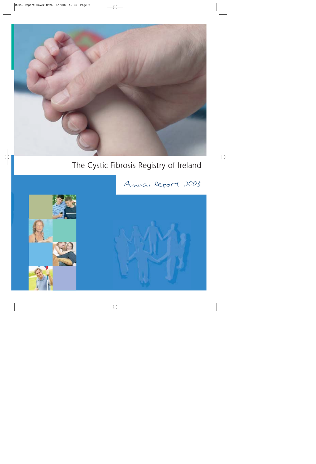

# The Cystic Fibrosis Registry of Ireland





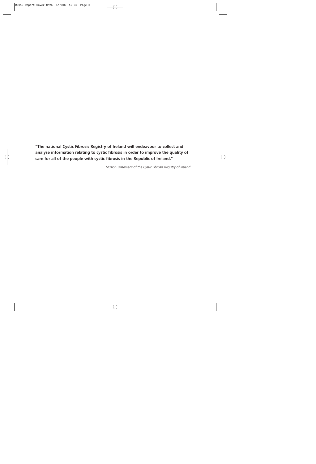**"The national Cystic Fibrosis Registry of Ireland will endeavour to collect and analyse information relating to cystic fibrosis in order to improve the quality of care for all of the people with cystic fibrosis in the Republic of Ireland."**

*Mission Statement of the Cystic Fibrosis Registry of Ireland*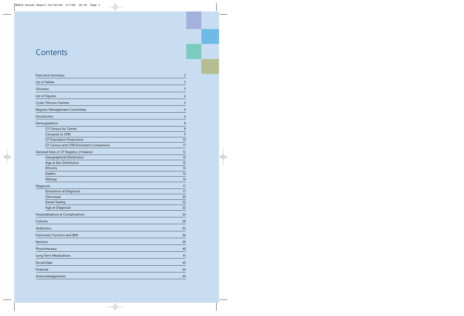### **Contents**

| <b>Executive Summary</b>       |                                         | $\overline{2}$ |
|--------------------------------|-----------------------------------------|----------------|
| List of Tables                 |                                         | 3              |
| Glossary                       |                                         | 3              |
| List of Figures                |                                         | 4              |
| <b>Cystic Fibrosis Centres</b> |                                         | 5              |
|                                | <b>Registry Management Committee</b>    | 5              |
| Introduction                   |                                         | 6              |
| Demographics:                  |                                         | $\bf 8$        |
|                                | <b>CF Census by Centre</b>              | 8              |
|                                | <b>Consents to CFRI</b>                 | 9              |
|                                | <b>CF Population Projections</b>        | 10             |
|                                | CF Census and CFRI Enrolment Comparison | 11             |
|                                | General Data of CF Registry of Ireland  | 12             |
|                                | <b>Geographical Distribution</b>        | 13             |
|                                | Age & Sex Distribution                  | 15             |
| Ethnicity                      |                                         | 15             |
| <b>Deaths</b>                  |                                         | 16             |
| Siblings                       |                                         | 16             |
| Diagnosis                      |                                         | 17             |
|                                | <b>Symptoms at Diagnosis</b>            | 17             |
| Genotype                       |                                         | 20             |
| <b>Sweat Testing</b>           |                                         | 22             |
|                                | Age at Diagnosis                        | 22             |
|                                | Hospitalisations & Complications        | 24             |
| <b>Cultures</b>                |                                         | 28             |
| Antibiotics                    |                                         | 32             |
| Pulmonary Function and BMI     |                                         | 36             |
| Nutrition                      |                                         | 39             |
| Physiotherapy                  |                                         | 40             |
| <b>Long Term Medications</b>   |                                         | 41             |
| Social Data                    |                                         | 43             |
| Financial                      |                                         | 44             |
| Acknowledgements               |                                         | 45             |
|                                |                                         |                |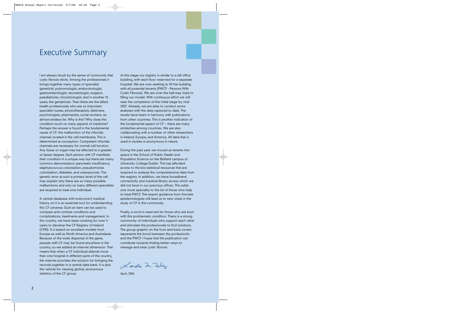### Executive Summary

I am always struck by the sense of community that cystic fibrosis elicits. Among the professionals it brings together many types of specialist: geneticist, pulmonologist, endocrinologist, gastroenterologist, neonatologist, surgeon, paediatrician, microbiologist, and in another 10 years, the geriatrician. Then there are the allied health professionals who are so important: specialist nurses, physiotherapists, dieticians, psychologists, pharmacists, social workers: an almost endless list. Why is this? Why does this condition touch so many aspects of medicine? Perhaps the answer is found in the fundamental cause of CF: the malfunction of the chloride channel, located in the cell membrane. This is determined at conception. Competent chloride channels are necessary for normal cell function. Any tissue or organ may be affected to a greater or lesser degree. Each person with CF manifests their condition in a unique way but there are many common denominators: pancreatic insufficiency, staphylococcus colonisation, pseudomonas colonisation, diabetes, and osteoporosis. The genetic error at such a primary level of the cell may explain why there are so many possible malfunctions and why so many different specialists are required to treat one individual.

A central database with everyone's medical history on it is an essential tool for understanding this CF universe. Such an item can be used to compare and contrast conditions and complications; treatments and management. In this country, we have been working for over 4 years to develop the CF Registry of Ireland (CFRI). It is based on excellent models from Europe as well as North America and Australasia. Because of the wide dispersal of the gene, people with CF may be found anywhere in the country, so we added an internet dimension. That means that when a CF individual attends more than one hospital in different parts of the country, the internet provides the solution for bringing the records together in a central data bank. It is also the vehicle for viewing global, anonymous statistics of the CF group.

At this stage our registry is similar to a tall office building, with each floor reserved for a separate hospital. We are now seeking to fill the building with all potential tenants (PWCF - Persons With Cystic Fibrosis). We are over the half-way mark to filling our model. With continuous effort we will near the completion of the initial stage by mid-2007. Already, we are able to conduct some analyses with the data captured to date. The results have been in harmony with publications from other countries. This is another indication of the fundamental aspect of CF – there are many similarities among countries. We are also collaborating with a number of other researchers in Ireland, Europe, and America. All data that is used in studies is anonymous in nature.

During the past year we moved as tenants into space in the School of Public Health and Population Science on the Belfield campus of University College Dublin. This has afforded access to the bio-statistical resources that are required to analyse the comprehensive data from the registry. In addition, we have broadband connectivity and medical library access which we did not have in our previous offices. This adds one more speciality to the list of those who help to treat PWCF. The expert guidance from first-rate epidemiologists will lead us to new vistas in the study of CF in the community.

Finally, a word is reserved for those who are born with this problematic condition. Theirs is a strong community of individuals who support each other and stimulate the professionals to find solutions. The group graphic on the front and back covers represents the bond between the professionls and the PWCF. I hope that this publication can contribute towards finding better ways to manage and treat cystic fibrosis.

Linda In. Folly

April, 2006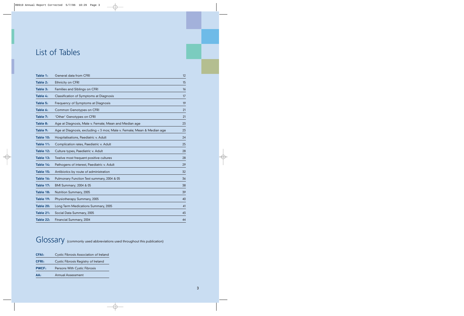# List of Tables

| Table 1:  | <b>General data from CFRI</b>                                          | 12 |
|-----------|------------------------------------------------------------------------|----|
| Table 2:  | Ethnicity on CFRI                                                      | 15 |
| Table 3:  | <b>Families and Siblings on CFRI</b>                                   | 16 |
| Table 4:  | Classification of Symptoms at Diagnosis                                | 17 |
| Table 5:  | Frequency of Symptoms at Diagnosis                                     | 19 |
| Table 6:  | <b>Common Genotypes on CFRI</b>                                        | 21 |
| Table 7:  | 'Other' Genotypes on CFRI                                              | 21 |
| Table 8:  | Age at Diagnosis, Male v. Female; Mean and Median age                  | 23 |
| Table 9:  | Age at Diagnosis, excluding < 3 mos; Male v. Female; Mean & Median age | 23 |
| Table 10: | Hospitalisations, Paediatric v. Adult                                  | 24 |
| Table 11: | Complication rates, Paediatric v. Adult                                | 25 |
| Table 12: | Culture types, Paediatric v. Adult                                     | 28 |
| Table 13: | Twelve most frequent positive cultures                                 | 28 |
| Table 14: | Pathogens of interest, Paediatric v. Adult                             | 29 |
| Table 15: | Antibiotics by route of administration                                 | 32 |
| Table 16: | Pulmonary Function Test summary, 2004 & 05                             | 36 |
| Table 17: | BMI Summary; 2004 & 05                                                 | 38 |
| Table 18: | Nutrition Summary, 2005                                                | 39 |
| Table 19: | Physiotherapy Summary, 2005                                            | 40 |
| Table 20: | Long Term Medications Summary, 2005                                    | 41 |
| Table 21: | Social Data Summary, 2005                                              | 43 |
| Table 22: | Financial Summary, 2004                                                | 44 |

## Glossary (commonly used abbreviations used throughout this publication)

| AA:          | <b>Annual Assessment</b>                      |
|--------------|-----------------------------------------------|
| <b>PWCF:</b> | Persons With Cystic Fibrosis                  |
| <b>CFRI:</b> | Cystic Fibrosis Registry of Ireland           |
| <b>CFAI:</b> | <b>Cystic Fibrosis Association of Ireland</b> |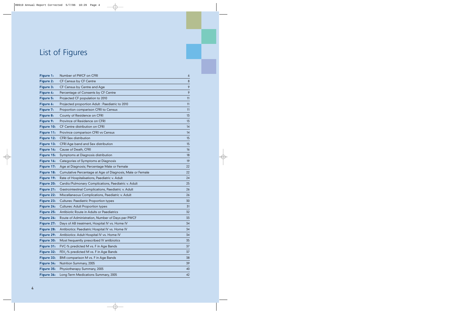# List of Figures

| Figure 1:        | Number of PWCF on CFRI                                    | 6       |
|------------------|-----------------------------------------------------------|---------|
| <b>Figure 2:</b> | CF Census by CF Centre                                    | $\bf 8$ |
| Figure 3:        | CF Census by Centre and Age                               | 9       |
| Figure 4:        | Percentage of Consents by CF Centre                       | 9       |
| Figure 5:        | Projected CF population to 2010                           | 11      |
| Figure 6:        | Projected proportion Adult: Paediatric to 2010            | 11      |
| Figure 7:        | Proportion comparison CFRI to Census                      | 11      |
| Figure 8:        | County of Residence on CFRI                               | 13      |
| Figure 9:        | Province of Residence on CFRI                             | 13      |
| Figure 10:       | CF Centre distribution on CFRI                            | 14      |
| Figure 11:       | Province comparison CFRI vs Census                        | 14      |
| Figure 12:       | <b>CFRI Sex distribution</b>                              | 15      |
| Figure 13:       | CFRI Age band and Sex distribution                        | 15      |
| Figure 14:       | Cause of Death, CFRI                                      | 16      |
| Figure 15:       | Symptoms at Diagnosis distribution                        | 18      |
| Figure 16:       | Categories of Symptoms at Diagnosis                       | 19      |
| Figure 17:       | Age at Diagnosis; Percentage Male or Female               | 22      |
| Figure 18:       | Cumulative Percentage at Age of Diagnosis, Male or Female | 22      |
| Figure 19:       | Rate of Hospitalisations, Paediatric v. Adult             | 24      |
| Figure 20:       | Cardio/Pulmonary Complications, Paediatric v. Adult       | 25      |
| Figure 21:       | Gastrointestinal Complications, Paediatric v. Adult       | 26      |
| Figure 22:       | Miscellaneous Complications, Paediatric v. Adult          | 26      |
| Figure 23:       | <b>Cultures: Paediatric Proportion types</b>              | 30      |
| Figure 24:       | <b>Cultures: Adult Proportion types</b>                   | 31      |
| Figure 25:       | Antibiotic Route in Adults or Paediatrics                 | 32      |
| Figure 26:       | Route of Administration, Number of Days per PWCF          | 33      |
| Figure 27:       | Days of AB treatment, Hospital IV vs. Home IV             | 34      |
| Figure 28:       | Antibiotics: Paediatric Hospital IV vs. Home IV           | 34      |
| Figure 29:       | Antibiotics: Adult Hospital IV vs. Home IV                | 34      |
| Figure 30:       | Most frequently prescribed IV antibiotics                 | 35      |
| Figure 31:       | FVC-% predicted M vs. F in Age Bands                      | 37      |
| Figure 32:       | FEV <sub>1</sub> -% predicted M vs. F in Age Bands        | 37      |
| Figure 33:       | BMI comparison M vs. F in Age Bands                       | 38      |
| Figure 34:       | Nutrition Summary, 2005                                   | 39      |
| Figure 35:       | Physiotherapy Summary, 2005                               | 40      |
| Figure 36:       | Long Term Medications Summary, 2005                       | 42      |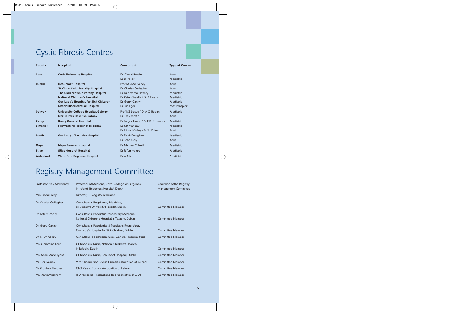# Cystic Fibrosis Centres

| <b>County</b>            | <b>Hospital</b>                                                                                                                                                                                                                         | <b>Consultant</b>                                                                                                                      | <b>Type of Centre</b>                                                       |
|--------------------------|-----------------------------------------------------------------------------------------------------------------------------------------------------------------------------------------------------------------------------------------|----------------------------------------------------------------------------------------------------------------------------------------|-----------------------------------------------------------------------------|
| Cork                     | <b>Cork University Hospital</b>                                                                                                                                                                                                         | Dr. Cathal Bredin<br>Dr B Fraser                                                                                                       | Adult<br>Paediatric                                                         |
| <b>Dublin</b>            | <b>Beaumont Hospital</b><br><b>St Vincent's University Hospital</b><br>The Children's University Hospital<br><b>National Children's Hospital</b><br><b>Our Lady's Hospital for Sick Children</b><br><b>Mater Misericordiae Hospital</b> | Prof NG McElvaney<br>Dr Charles Gallagher<br>Dr Dubhfeasa Slattery<br>Dr Peter Greally / Dr B Elnazir<br>Dr Gerry Canny<br>Dr Jim Egan | Adult<br>Adult<br>Paediatric<br>Paediatric<br>Paediatric<br>Post-Transplant |
| Galway                   | <b>University College Hospital Galway</b><br><b>Merlin Park Hospital, Galway</b>                                                                                                                                                        | Prof BG Loftus / Dr A O'Regan<br>Dr JJ Gilmartin                                                                                       | Paediatric<br>Adult                                                         |
| <b>Kerry</b><br>Limerick | <b>Kerry General Hospital</b><br><b>Midwestern Regional Hospital</b>                                                                                                                                                                    | Dr Fergus Leahy / Dr R.B. Fitzsimons<br>Dr MJ Mahony<br>Dr Eithne Mulloy / Dr TH Peirce                                                | Paediatric<br>Paediatric<br>Adult                                           |
| Louth                    | <b>Our Lady of Lourdes Hospital</b>                                                                                                                                                                                                     | Dr David Vaughan<br>Dr John Kiely                                                                                                      | Paediatric<br>Adult                                                         |
| <b>Mayo</b>              | <b>Mayo General Hospital</b>                                                                                                                                                                                                            | Dr Michael O'Neill                                                                                                                     | Paediatric                                                                  |
| <b>Sligo</b>             | <b>Sligo General Hospital</b>                                                                                                                                                                                                           | Dr R Tummaluru                                                                                                                         | Paediatric                                                                  |
| Waterford                | <b>Waterford Regional Hospital</b>                                                                                                                                                                                                      | Dr A Altaf                                                                                                                             | Paediatric                                                                  |

# Registry Management Committee

| Professor N.G. McElvaney | Professor of Medicine, Royal College of Surgeons<br>in Ireland. Beaumont Hospital, Dublin           | Chairman of the Registry<br><b>Management Committee</b> |
|--------------------------|-----------------------------------------------------------------------------------------------------|---------------------------------------------------------|
| Mrs. Linda Foley         | Director, CF Registry of Ireland                                                                    |                                                         |
| Dr. Charles Gallagher    | Consultant in Respiratory Medicine,<br>St. Vincent's University Hospital, Dublin                    | <b>Committee Member</b>                                 |
| Dr. Peter Greally        | Consultant in Paediatric Respiratory Medicine,<br>National Children's Hospital in Tallaght, Dublin  | <b>Committee Member</b>                                 |
| Dr. Gerry Canny          | Consultant in Paediatrics & Paediatric Respirology<br>Our Lady's Hospital for Sick Children, Dublin | <b>Committee Member</b>                                 |
| Dr. R Tummaluru          | Consultant Paediatrician, Sligo General Hospital, Sligo                                             | <b>Committee Member</b>                                 |
| Ms. Gerardine Leen       | CF Specialist Nurse, National Children's Hospital<br>in Tallaght, Dublin                            | <b>Committee Member</b>                                 |
| Ms. Anne Marie Lyons     | CF Specialist Nurse, Beaumont Hospital, Dublin                                                      | <b>Committee Member</b>                                 |
| Mr. Carl Rainey          | Vice Chairperson, Cystic Fibrosis Association of Ireland                                            | <b>Committee Member</b>                                 |
| Mr Godfrey Fletcher      | CEO, Cystic Fibrosis Association of Ireland                                                         | <b>Committee Member</b>                                 |
| Mr. Martin Wickham       | IT Director, BT - Ireland and Representative of CFAI                                                | <b>Committee Member</b>                                 |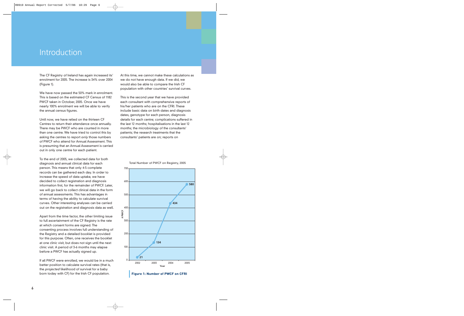### Introduction

The CF Registry of Ireland has again increased its' enrolment for 2005. The increase is 34% over 2004 (Figure 1).

We have now passed the 50% mark in enrolment. This is based on the estimated CF Census of 1182 PWCF taken in October, 2005. Once we have nearly 100% enrolment we will be able to verify the annual census figures.

Until now, we have relied on the thirteen CF Centres to return their attendance once annually. There may be PWCF who are counted in more than one centre. We have tried to control this by asking the centres to report *only* those numbers of PWCF who attend for Annual Assessment. This is presuming that an Annual Assessment is carried out in only one centre for each patient.

To the end of 2005, we collected data for both diagnosis and annual clinical data for each person. This means that only 4-5 complete records can be gathered each day. In order to increase the speed of data uptake, we have decided to collect registration and diagnosis information first, for the remainder of PWCF. Later, we will go back to collect clinical data in the form of annual assessments. This has advantages in terms of having the ability to calculate survival curves. Other interesting analyses can be carried out on the registration and diagnosis data as well.

Apart from the time factor, the other limiting issue to full ascertainment of the CF Registry is the rate at which consent forms are signed. The consenting process involves full understanding of the Registry and a detailed booklet is provided for this purpose. Often, one receives the booklet at one clinic visit, but does not sign until the next clinic visit. A period of 3-6 months may elapse before a PWCF has actually signed up.

If all PWCF were enrolled, we would be in a much better position to calculate survival rates (that is, the *projected* likelihood of survival for a baby born today with CF) for the Irish CF population.

At this time, we cannot make these calculations as we do not have enough data. If we did, we would also be able to compare the Irish CF population with other countries' survival curves.

This is the second year that we have provided each consultant with comprehensive reports of his/her patients who are on the CFRI. These include basic data on birth dates and diagnosis dates, genotype for each person, diagnosis details for each centre; complications suffered in the last 12 months; hospitalisations in the last 12 months; the microbiology of the consultants' patients; the research treatments that the consultants' patients are on; reports on



#### Total Number of PWCF on Registry, 2005

**Figure 1: Number of PWCF on CFRI**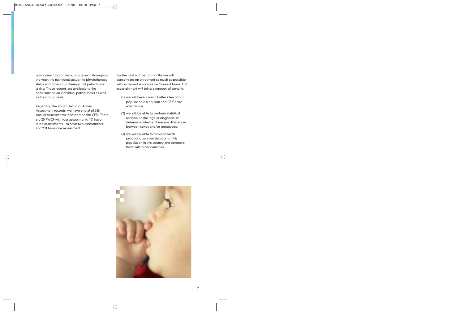pulmonary function tests, plus growth throughout the year; the nutritional status; the physiotherapy status and other drug therapy that patients are taking. These reports are available to the consultant on an individual patient basis as well as the group basis.

Regarding the accumulation of Annual Assessment records, we have a total of 583 Annual Assessments recorded on the CFRI. There are 20 PWCF with four assessments, 101 have three assessments, 168 have two assessments, and 294 have one assessment.

For the next number of months we will concentrate on enrolment as much as possible with increased emphasis on Consent forms. Full ascertainment will bring a number of benefits:

- (1) we will have a much better idea of our population distribution and CF Centre attendance;
- (2) we will be able to perform statistical analysis on the 'age at diagnosis' to determine whether there are differences between sexes and/or genotypes;
- (3) we will be able to move towards producing survival statistics for this population in this country and compare them with other countries.

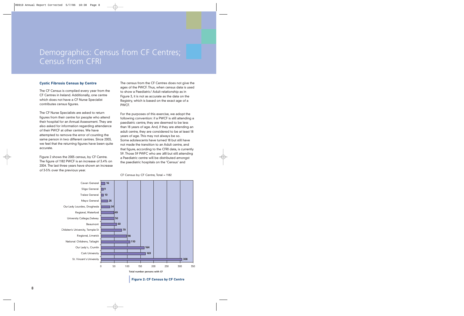### Demographics: Census from CF Centres; Census from CFRI

#### **Cystic Fibrosis Census by Centre**

The CF Census is compiled every year from the CF Centres in Ireland. Additionally, one centre which does not have a CF Nurse Specialist contributes census figures.

The CF Nurse Specialists are asked to return figures from their centre for people who attend their hospital for an Annual Assessment. They are also asked for information regarding attendance of their PWCF at other centres. We have attempted to remove the error of counting the same person in two different centres. Since 2003, we feel that the returning figures have been quite accurate.

Figure 2 shows the 2005 census, by CF Centre. The figure of 1182 PWCF is an increase of 3.4% on 2004. The last three years have shown an increase of 3-5% over the previous year.

The census from the CF Centres does not give the ages of the PWCF. Thus, when census data is used to show a Paediatric/ Adult relationship as in Figure 3, it is not as accurate as the data on the Registry, which is based on the exact age of a PWCF.

For the purposes of this exercise, we adopt the following convention: if a PWCF is still attending a paediatric centre, they are deemed to be less than 18 years of age. And, if they are attending an adult centre, they are considered to be at least 18 years of age. This may not always be so. Some adolescents have turned 18 but still have not made the transition to an Adult centre, and that figure, according to the CFRI data, is currently 59. Those 59 PWFC who are <sup>≥</sup>18 but still attending a Paediatric centre will be distributed amongst the paediatric hospitals on the 'Census' and



#### CF Census by CF Centre, Total = 1182

**Figure 2: CF Census by CF Centre**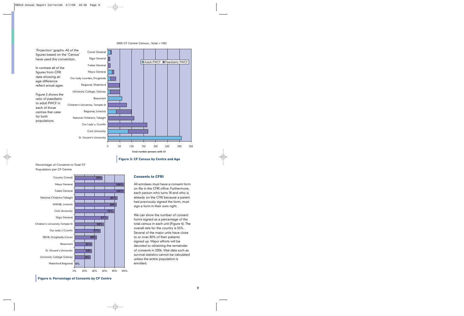





#### Percentage of Consents to Total CF Population per CF Centre



#### **Consents to CFRI**

All enrolees must have a consent form on file in the CFRI office. Furthermore, each person who turns 18 and who is already on the CFRI because a parent had previously signed the form, must sign a form in their own right.

We can show the number of consent forms signed as a percentage of the total census in each unit (Figure 4). The overall rate for the country is 55%. Several of the major units have close to or over 80% of their patients signed up. Major efforts will be devoted to obtaining the remainder of consents in 2006. Vital data such as survival statistics cannot be calculated unless the entire population is enrolled.

**Figure 4: Percentage of Consents by CF Centre**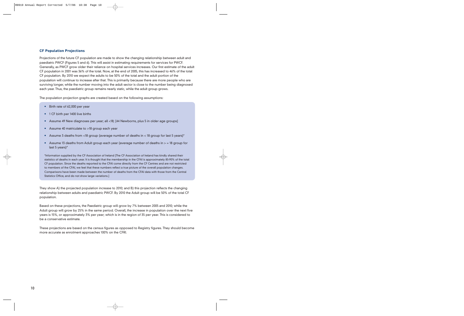#### **CF Population Projections**

Projections of the future CF population are made to show the changing relationship between adult and paediatric PWCF (Figures 5 and 6). This will assist in estimating requirements for services for PWCF. Generally, as PWCF grow older their reliance on hospital services increases. Our first estimate of the adult CF population in 2001 was 36% of the total. Now, at the end of 2005, this has increased to 46% of the total CF population. By 2010 we expect the adults to be 50% of the total and the adult portion of the population will continue to increase after that. This is primarily because there are more people who are surviving longer, while the number moving into the adult sector is close to the number being diagnosed each year. Thus, the paediatric group remains nearly static, while the adult group grows.

The population projection graphs are created based on the following assumptions:

- Birth rate of 62,000 per year
- 1 CF birth per 1400 live births
- Assume 49 New diagnoses per year; all <18; [44 Newborns, plus 5 in older age groups]
- Assume 40 matriculate to >18 group each year
- $\bullet$   $\,$  Assume 3 deaths from <18 group (average number of deaths in < 18 group for last 5 years)\*
- Assume 13 deaths from Adult group each year (average number of deaths in > = 18 group for last 5 years)\*

\*Information supplied by the CF Association of Ireland [The CF Association of Ireland has kindly shared their statistics of deaths in each year. It is thought that the membership in the CFAI is approximately 85-90% of the total CF population. Since the deaths reported to the CFAI come directly from the CF Centres and are not restricted to members of the CFAI, we feel that these numbers reflect a true picture of the overall population changes. Comparisons have been made between the number of deaths from the CFAI data with those from the Central Statistics Office, and do not show large variations.]

They show A) the projected population increase to 2010; and B) this projection reflects the changing relationship between adults and paediatric PWCF. By 2010 the Adult group will be 50% of the total CF population.

Based on these projections, the Paediatric group will grow by 7% between 2005 and 2010; while the Adult group will grow by 25% in the same period. Overall, the increase in population over the next five years is 15%, or approximately 3% per year; which is in the region of 35 per year. This is considered to be a conservative estimate.

These projections are based on the census figures as opposed to Registry figures. They should become more accurate as enrolment approaches 100% on the CFRI.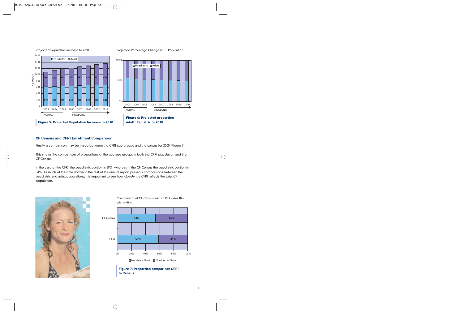

Projected Population Increase to 2010

Projected Percentage Change in CF Population



#### **CF Census and CFRI Enrolment Comparison**

Finally, a comparison may be made between the CFRI age groups and the census for 2005 (Figure 7).

This shows the comparison of proportions of the two age groups in both the CFRI population and the CF Census.

In the case of the CFRI, the paediatric portion is 59%, whereas in the CF Census the paediatric portion is 54%. As much of the data shown in the rest of the annual report presents comparisons between the paediatric and adult populations, it is important to see how closely the CFRI reflects the total CF population.





**to Census**

Comparison of CF Census with CFRI, Under 18's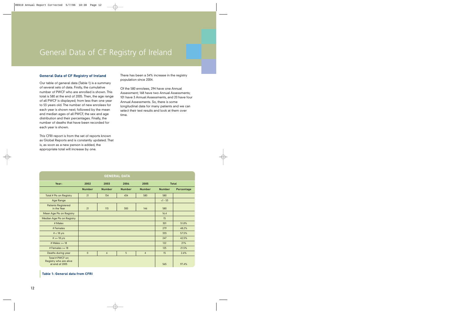### General Data of CF Registry of Ireland

#### **General Data of CF Registry of Ireland**

Our table of general data (Table 1) is a summary of several sets of data. Firstly, the cumulative number of PWCF who are enrolled is shown. This total is 580 at the end of 2005. Then, the age range of all PWCF is displayed; from less than one year to 53 years old. The number of new enrolees for each year is shown next; followed by the mean and median ages of all PWCF, the sex and age distribution and their percentages. Finally, the number of deaths that have been recorded for each year is shown.

This CFRI report is from the set of reports known as Global Reports and is constantly updated. That is, as soon as a new person is added, the appropriate total will increase by one.

There has been a 34% increase in the registry population since 2004.

Of the 580 enrolees, 294 have one Annual Assessment; 168 have two Annual Assessments; 101 have 3 Annual Assessments, and 20 have four Annual Assessments. So, there is some longitudinal data for many patients and we can select their test results and look at them over time.

| <b>GENERAL DATA</b>                                         |               |               |               |                |               |            |
|-------------------------------------------------------------|---------------|---------------|---------------|----------------|---------------|------------|
| Year:                                                       | 2002          | 2003          | <b>Total</b>  |                |               |            |
|                                                             | <b>Number</b> | <b>Number</b> | <b>Number</b> | <b>Number</b>  | <b>Number</b> | Percentage |
| Total # Pts on Registry                                     | 21            | 134           | 434           | 580            | 580           |            |
| <b>Age Range</b>                                            |               |               |               |                | $<1 - 53$     |            |
| <b>Patients Registered</b><br>in the Year                   | 21            | 113           | 300           | 146            | 580           |            |
| Mean Age Pts on Registry                                    |               |               |               |                | 16.4          |            |
| Median Age Pts on Registry                                  |               |               |               |                | 15            |            |
| # Males                                                     |               |               |               |                | 301           | 51.8%      |
| # Females                                                   |               |               |               |                | 279           | 48.2%      |
| $# < 18$ yrs                                                |               |               |               |                | 333           | 57.5%      |
| $# >= 18 \text{ yrs}$                                       |               |               |               |                | 247           | 42.5%      |
| # Males $>=$ 18                                             |               |               |               |                | 122           | 21%        |
| # Females $>=$ 18                                           |               | 125           | 21.5%         |                |               |            |
| Deaths during year                                          | $\mathbf{0}$  | 6             | 5             | $\overline{4}$ | 15            | 2.6%       |
| Total # PWCF on<br>Registry who are alive<br>at end of 2005 |               |               |               |                | 565           | 97.4%      |

**Table 1: General data from CFRI**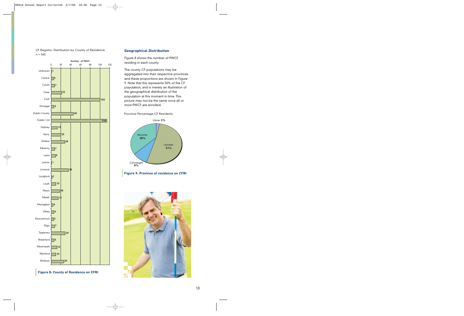

CF Registry: Distribution by County of Residence  $n = 565$ 

#### **Figure 8: County of Residence on CFRI**

#### **Geographical Distribution**

Figure 8 shows the number of PWCF residing in each county

The county CF populations may be aggregated into their respective provinces and these proportions are shown in Figure 9. Note that this represents 50% of the CF population, and is merely an illustration of the geographical distribution of the population at this moment in time. This picture may not be the same once all or most PWCF are enrolled.

Province Percentage CF Residents





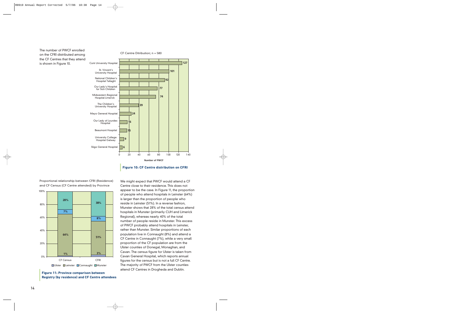

**Number of PWCF**

**Figure 10: CF Centre distribution on CFRI**

Proportional relationship between CFRI (Residence) and CF Census (CF Centre attended) by Province



**Figure 11: Province comparison between Registry (by residence) and CF Centre attendees**

We might expect that PWCF would attend a CF Centre close to their residence. This does not appear to be the case. In Figure 11, the proportion of people who attend hospitals in Leinster (64%) is larger than the proportion of people who reside in Leinster (51%). In a reverse fashion, Munster shows that 28% of the total census attend hospitals in Munster (primarily CUH and Limerick Regional), whereas nearly 40% of the total number of people reside in Munster. This excess of PWCF probably attend hospitals in Leinster, rather than Munster. Similar proportions of each population live in Connaught (8%) and attend a CF Centre in Connaught (7%), while a very small proportion of the CF population are from the Ulster counties of Donegal, Monaghan, and Cavan. The census figure for Ulster is taken from Cavan General Hospital, which reports annual figures for the census but is not a full CF Centre. The majority of PWCF from the Ulster counties attend CF Centres in Drogheda and Dublin.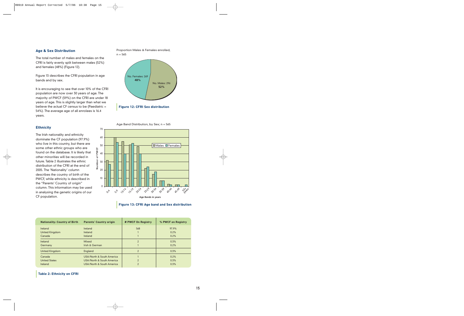#### **Age & Sex Distribution**

The total number of males and females on the CFRI is fairly evenly split between males (52%) and females (48%) (Figure 12).

Figure 13 describes the CFRI population in age bands and by sex.

It is encouraging to see that over 10% of the CFRI population are now over 30 years of age. The majority of PWCF (59%) on the CFRI are under 18 years of age. This is slightly larger than what we believe the actual CF census to be (Paediatric = 54%). The average age of all enrolees is 16.4 years.

**Ethnicity**

The Irish nationality and ethnicity dominate the CF population (97.9%) who live in this country, but there are some other ethnic groups who are found on the database. It is likely that other minorities will be recorded in future. Table 2 illustrates the ethnic distribution of the CFRI at the end of 2005. The 'Nationality' column describes the country of birth of the PWCF, while ethnicity is described in the "Parents' Country of origin" column. This information may be used in analysing the genetic origins of our CF population.

Proportion Males & Females enrolled,  $n = 565$ 



Age Band Distribution, by Sex; n = 565



**Figure 13: CFRI Age band and Sex distribution**

| <b>Nationality: Country of Birth</b> | <b>Parents' Country origin</b> | # PWCF On Registry | % PWCF on Registry |
|--------------------------------------|--------------------------------|--------------------|--------------------|
| Ireland                              | Ireland                        | 568                | 97.9%              |
| United Kingdom                       | <b>Ireland</b>                 |                    | 0.2%               |
| Canada                               | Ireland                        |                    | 0.2%               |
| Ireland                              | <b>Mixed</b>                   | $\mathcal{P}$      | 0.3%               |
| Germany                              | Irish & German                 |                    | 0.2%               |
| <b>United Kingdom</b>                | England                        | $\overline{2}$     | 0.3%               |
| Canada                               | USA/North & South America      |                    | 0.2%               |
| <b>United States</b>                 | USA/North & South America      | $\overline{c}$     | 0.3%               |
| Ireland                              | USA/North & South America      | $\mathcal{P}$      | 0.3%               |

#### **Table 2: Ethnicity on CFRI**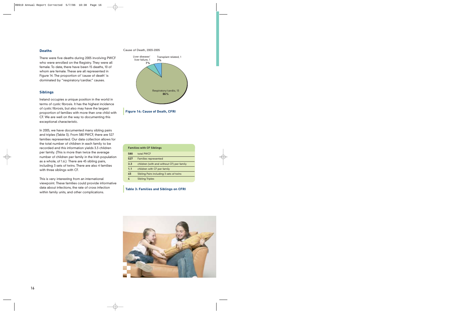#### **Deaths**

There were five deaths during 2005 involving PWCF who were enrolled on the Registry. They were all female. To date, there have been 15 deaths, 10 of whom are female. These are all represented in Figure 14. The proportion of 'cause of death' is dominated by "respiratory/cardiac" causes.

#### **Siblings**

Ireland occupies a unique position in the world in terms of cystic fibrosis. It has the highest incidence of cystic fibrosis, but also may have the largest proportion of families with more than one child with CF. We are well on the way to documenting this exceptional characteristic.

In 2005, we have documented many sibling pairs and triples (Table 3). From 580 PWCF, there are 527 families represented. Our data collection allows for the total number of children in each family to be recorded and this information yields 3.3 children per family. (This is more than twice the average number of children per family in the Irish population as a whole, of 1.6.) There are 45 sibling pairs, including 3 sets of twins. There are also 4 families with three siblings with CF.

This is very interesting from an international viewpoint. These families could provide informative data about infections, the rate of cross infection within family units, and other complications.

#### Cause of Death, 2003-2005





| <b>Families with CF Siblings</b> |                                           |  |  |  |
|----------------------------------|-------------------------------------------|--|--|--|
| total PWCF<br>580                |                                           |  |  |  |
| 527                              | <b>Families represented</b>               |  |  |  |
| 3.3                              | children (with and without CF) per family |  |  |  |
| 1.1                              | children with CF per family               |  |  |  |
| 45                               | Sibling Pairs including 3 sets of twins   |  |  |  |
|                                  | <b>Sibling Triples</b>                    |  |  |  |

#### **Table 3: Families and Siblings on CFRI**

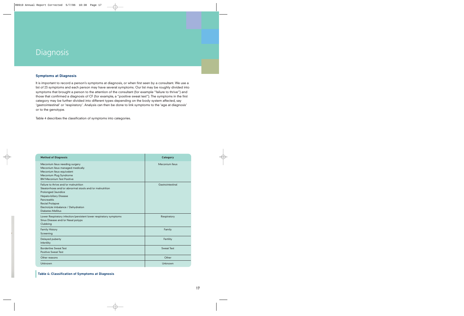### **Diagnosis**

#### **Symptoms at Diagnosis**

It is important to record a person's symptoms at diagnosis, or when first seen by a consultant. We use a list of 23 symptoms and each person may have several symptoms. Our list may be roughly divided into symptoms that brought a person to the attention of the consultant (for example "failure to thrive") and those that confirmed a diagnosis of CF (for example, <sup>a</sup>"positive sweat test"). The symptoms in the first category may be further divided into different types depending on the body system affected, say 'gastrointestinal' or 'respiratory'. Analysis can then be done to link symptoms to the 'age at diagnosis' or to the genotype.

Table 4 describes the classification of symptoms into categories.

| <b>Method of Diagnosis</b>                                                                                                                                                                                                                                                         | <b>Category</b>   |
|------------------------------------------------------------------------------------------------------------------------------------------------------------------------------------------------------------------------------------------------------------------------------------|-------------------|
| Meconium Ileus needing surgery<br>Meconium Ileus managed medically<br>Meconium Ileus equivalent<br>Meconium Plug Syndrome<br><b>BM Meconium Test Positive</b>                                                                                                                      | Meconium Ileus    |
| Failure to thrive and/or malnutrition<br>Steatorrhoea and/or abnormal stools and/or malnutrition<br><b>Prolonged Jaundice</b><br><b>Hepato-biliary Disease</b><br><b>Pancreatitis</b><br><b>Rectal Prolapse</b><br>Electrolyte imbalance / Dehydration<br><b>Diabetes Mellitus</b> | Gastrointestinal  |
| Lower Respiratory infection/persistent lower respiratory symptoms<br>Sinus Disease and/or Nasal polyps<br>Clubbing                                                                                                                                                                 | Respiratory       |
| <b>Family History</b><br>Screening                                                                                                                                                                                                                                                 | Family            |
| Delayed puberty<br><b>Infertility</b>                                                                                                                                                                                                                                              | Fertility         |
| <b>Borderline Sweat Test</b><br><b>Positive Sweat Test</b>                                                                                                                                                                                                                         | <b>Sweat Test</b> |
| Other reasons                                                                                                                                                                                                                                                                      | Other             |
| Unknown                                                                                                                                                                                                                                                                            | Unknown           |

**Table 4: Classification of Symptoms at Diagnosis**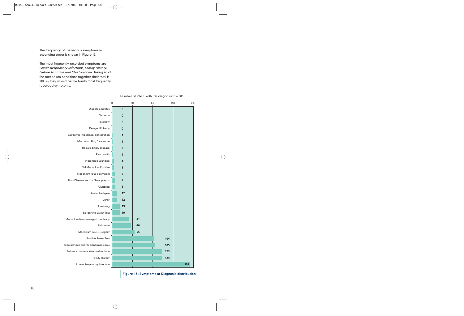The frequency of the various symptoms in ascending order is shown in Figure 15.

The most frequently recorded symptoms are *Lower Respiratory infections*, *Family History, Failure to thrive and Steatorrhoea.* Taking all of the meconium conditions together, their total is 110; so they would be the fourth most frequently recorded symptoms.

|                                       | 0 | 50                      |    | 100 |     | 200<br>150 |
|---------------------------------------|---|-------------------------|----|-----|-----|------------|
| Diabetes mellitus                     |   | $\bf{0}$                |    |     |     |            |
| Oedema                                |   | $\bf{0}$                |    |     |     |            |
| Infertility                           |   | $\bf{0}$                |    |     |     |            |
| <b>Delayed Puberty</b>                |   | 0                       |    |     |     |            |
| Electrolyte imbalance/dehydration     |   | 1                       |    |     |     |            |
| Meconium Plug Syndrome                |   | $\overline{2}$          |    |     |     |            |
| Hepato-biliary Disease                |   | $\overline{2}$          |    |     |     |            |
| Pancreatitis                          |   | $\overline{2}$          |    |     |     |            |
| Prolonged Jaundice                    |   | 4                       |    |     |     |            |
| <b>BM Meconium Positive</b>           |   | 5                       |    |     |     |            |
| Meconium ileus equivalent             |   | 7                       |    |     |     |            |
| Sinus Disease and/or Nasal polyps     |   | $\overline{\mathbf{z}}$ |    |     |     |            |
| Clubbing                              |   | 8                       |    |     |     |            |
| Rectal Prolapse                       |   | 12                      |    |     |     |            |
| Other                                 |   | 12                      |    |     |     |            |
| Screening                             |   | 19                      |    |     |     |            |
| <b>Borderline Sweat Test</b>          |   | 19                      |    |     |     |            |
| Meconium ileus managed medically      |   |                         | 41 |     |     |            |
| Unknown                               |   |                         | 46 |     |     |            |
| Meconium ileus + surgery              |   |                         | 55 |     |     |            |
| <b>Positive Sweat Test</b>            |   |                         |    |     | 104 |            |
| Steatorrhoea and/or abnormal stools   |   |                         |    |     | 105 |            |
| Failure to thrive and/or malnutrition |   |                         |    |     | 123 |            |
| <b>Family History</b>                 |   |                         |    |     | 124 |            |
| Lower Respiratory infection           |   |                         |    |     |     | 192        |

#### Number of PWCF with this diagnosis;  $n = 580$

**Figure 15: Symptoms at Diagnosis distribution**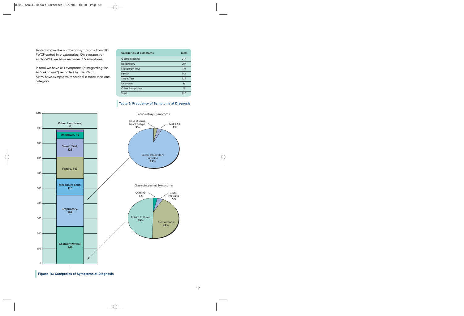Table 5 shows the number of symptoms from 580 PWCF sorted into categories. On average, for each PWCF we have recorded 1.5 symptoms.

In total we have 844 symptoms (disregarding the 46 "unknowns") recorded by 534 PWCF. Many have symptoms recorded in more than one category.

| <b>Categories of Symptoms</b> | <b>Total</b> |
|-------------------------------|--------------|
| Gastrointestinal              | 249          |
| Respiratory                   | 207          |
| Meconium Ileus                | 110          |
| Family                        | 143          |
| <b>Sweat Test</b>             | 123          |
| Unknown                       | 46           |
| Other Symptoms                | 12           |
| Total                         | 890          |

#### **Table 5: Frequency of Symptoms at Diagnosis**



**Figure 16: Categories of Symptoms at Diagnosis**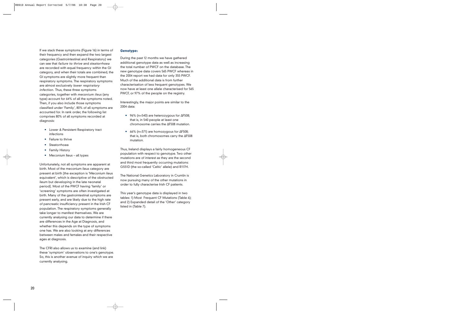If we stack these symptoms (Figure 16) in terms of their frequency and then expand the two largest categories (Gastrointestinal and Respiratory) we can see that *failure to thrive* and *steatorrhoea* are recorded with equal frequency within the GI category, and when their totals are combined, the GI symptoms are slightly more frequent than respiratory symptoms. The respiratory symptoms are almost exclusively *lower respiratory infection.* Thus, these three symptoms categories, together with *meconium ileus* (any type) account for 64% of all the symptoms noted. Then, if you also include those symptoms classified under 'Family', 80% of all symptoms are accounted for. In rank order, the following list comprises 80% of all symptoms recorded at diagnosis:

- **•** Lower & Persistent Respiratory tract infections
- **•** Failure to thrive
- **•** Steatorrhoea
- **•** Family History
- **•** Meconium Ileus all types

Unfortunately, not all symptoms are apparent at birth. Most of the meconium ileus category are present at birth [the exception is 'Meconium ileus equivalent', which is descriptive of the obstructed ileum but developing in the late neonatal period]. Most of the PWCF having 'family' or 'screening' symptoms are often investigated at birth. Many of the gastrointestinal symptoms are present early, and are likely due to the high rate of pancreatic insufficiency present in the Irish CF population. The respiratory symptoms generally take longer to manifest themselves. We are currently analysing our data to determine if there are differences in the Age at Diagnosis, and whether this depends on the type of symptoms one has. We are also looking at any differences between males and females and their respective ages at diagnosis.

The CFRI also allows us to examine (and link) these 'symptom' observations to one's genotype. So, this is another avenue of inquiry which we are currently analysing.

#### **Genotype:**

During the past 12 months we have gathered additional genotype data as well as increasing the total number of PWCF on the database. The new genotype data covers 565 PWCF whereas in the 2004 report we had data for only 355 PWCF. Much of the additional data is from further characterisation of less frequent genotypes. We now have at least one allele characterised for 565 PWCF, or 97% of the people on the registry.

Interestingly, the major points are similar to the 2004 data:

- **•** 96% (n=540) are heterozygous for ∆F508; that is, in 540 people at least one chromosome carries the ∆F508 mutation.
- **•** 66% (n=371) are homozygous for ∆F508; that is, both chromosomes carry the ∆F508 mutation.

Thus, Ireland displays a fairly homogeneous CF population with respect to genotype. Two other mutations are of interest as they are the second and third most frequently occurring mutations: G551D (the so-called 'Celtic' allele) and R117H.

The National Genetics Laboratory in Crumlin is now pursuing many of the other mutations in order to fully characterise Irish CF patients.

This year's genotype data is displayed in two tables: 1) Most Frequent CF Mutations (Table 6); and 2) Expanded detail of the 'Other' category listed in (Table 7).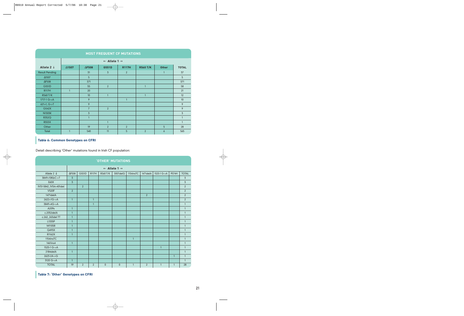|                       | <b>MOST FREQUENT CF MUTATIONS</b> |                                     |                |              |                 |              |                |  |  |  |
|-----------------------|-----------------------------------|-------------------------------------|----------------|--------------|-----------------|--------------|----------------|--|--|--|
|                       |                                   | $\leftarrow$ Allele 1 $\rightarrow$ |                |              |                 |              |                |  |  |  |
| Allele 2 $\downarrow$ | $\triangle$ 1507                  | $\triangle$ F508                    | G551D          | <b>R117H</b> | <b>R560 T/K</b> | <b>Other</b> | <b>TOTAL</b>   |  |  |  |
| <b>Result Pending</b> |                                   | 31                                  | $\overline{3}$ | 2            |                 | 1            | 37             |  |  |  |
| $\Delta$ 1507         |                                   | 5 <sup>5</sup>                      |                |              |                 |              | 5              |  |  |  |
| $\Delta$ F508         |                                   | 371                                 |                |              |                 |              | 371            |  |  |  |
| G551D                 |                                   | 55                                  | 2              |              | 1               |              | 58             |  |  |  |
| <b>R117H</b>          | $\mathbf{1}$                      | 20                                  |                |              |                 |              | 21             |  |  |  |
| R560 T/K              |                                   | 10                                  | $\mathbf{1}$   |              | и               |              | 12             |  |  |  |
| 1717-1 G->A           |                                   | 9                                   |                | и            |                 |              | 10             |  |  |  |
| $621+1, G-5$          |                                   | 9                                   |                |              |                 |              | 9              |  |  |  |
| G542X                 |                                   | $\overline{7}$                      | 2              |              |                 |              | 9              |  |  |  |
| N1303K                |                                   | $\overline{3}$                      |                |              |                 |              | $\overline{3}$ |  |  |  |
| <b>R352Q</b>          |                                   | $\mathbf{1}$                        |                |              |                 |              | $\mathbf{1}$   |  |  |  |
| <b>R553X</b>          |                                   |                                     | $\mathbf{1}$   |              |                 |              | $\mathbf{1}$   |  |  |  |
| Other                 |                                   | 19                                  | 2              | 2            |                 | 5            | 28             |  |  |  |
| Total                 | $\overline{1}$                    | 540                                 | 11             | 5            | $\overline{2}$  | 6            | 565            |  |  |  |

### **Table 6: Common Genotypes on CFRI**

Detail describing 'Other' mutations found in Irish CF population:

|                       | <b>'OTHER' MUTATIONS</b> |                                     |                |              |              |              |                |              |              |                |  |
|-----------------------|--------------------------|-------------------------------------|----------------|--------------|--------------|--------------|----------------|--------------|--------------|----------------|--|
|                       |                          | $\leftarrow$ Allele 1 $\rightarrow$ |                |              |              |              |                |              |              |                |  |
| Allele 2 $\downarrow$ | $\Delta$ F508            | G551D                               | <b>R117H</b>   | R560 T/K     | 3007 del G   | 1154insTC    | 1471 del A     | 1525-1 G->A  | <b>P574H</b> | <b>TOTAL</b>   |  |
| 3849+10KbC->T         | $\overline{3}$           |                                     |                |              |              |              |                |              |              | $\overline{3}$ |  |
| E60X                  | $\overline{3}$           |                                     |                |              |              |              |                |              |              | 3              |  |
| IVS1-5842 IVS4+401del |                          | 2                                   |                |              |              |              |                |              |              | $\overline{2}$ |  |
| <b>V520F</b>          | $\overline{2}$           |                                     |                |              |              |              |                |              |              | $\overline{2}$ |  |
| 1471delA              |                          |                                     |                |              |              |              | $\overline{2}$ |              |              | 2              |  |
| $2622+1G->A$          | $\overline{1}$           |                                     | $\overline{1}$ |              |              |              |                |              |              | $\overline{2}$ |  |
| $3849+4G > A$         |                          |                                     | $\overline{1}$ |              |              |              |                |              |              | $\mathbf{1}$   |  |
| A209s                 | $\mathbf{1}$             |                                     |                |              |              |              |                |              |              | $\mathbf{1}$   |  |
| $c.2052$ del $A$      | $\mathbf{1}$             |                                     |                |              |              |              |                |              |              | $\mathbf{1}$   |  |
| c.262 263del TT       | $\mathbf{1}$             |                                     |                |              |              |              |                |              |              | $\mathbf{1}$   |  |
| L1335P                | $\mathbf{1}$             |                                     |                |              |              |              |                |              |              | $\mathbf{1}$   |  |
| M1105R                | $\mathbf{1}$             |                                     |                |              |              |              |                |              |              | $\mathbf{1}$   |  |
| Q493X                 | $\mathbf{1}$             |                                     |                |              |              |              |                |              |              | $\mathbf{1}$   |  |
| R1162X                | $\mathbf{1}$             |                                     |                |              |              |              |                |              |              | $\mathbf{1}$   |  |
| 1154insTC             |                          |                                     |                |              |              | $\mathbf{1}$ |                |              |              | $\mathbf{1}$   |  |
| 1461ins4              | $\overline{1}$           |                                     |                |              |              |              |                |              |              | $\mathbf{1}$   |  |
| 1525-1 G->A           |                          |                                     |                |              |              |              |                | $\mathbf{1}$ |              | $\mathbf{1}$   |  |
| 2184delA              | $\mathbf{1}$             |                                     |                |              |              |              |                |              |              | $\mathbf{1}$   |  |
| $2623 - 2A - > G$     |                          |                                     |                |              |              |              |                |              | $\mathbf{1}$ | $\mathbf{1}$   |  |
| 3120 G->A             | $\mathbf{1}$             |                                     |                |              |              |              |                |              |              | $\mathbf{1}$   |  |
| <b>TOTAL</b>          | 19                       | $\overline{2}$                      | $\overline{2}$ | $\mathbf{0}$ | $\mathbf{0}$ | $\mathbf{1}$ | $\overline{2}$ | $\mathbf{1}$ | $\mathbf{1}$ | 28             |  |

**Table 7: 'Other' Genotypes on CFRI**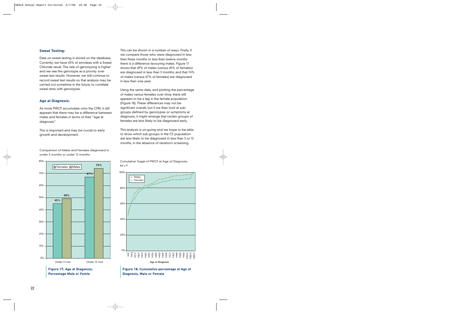#### **Sweat Testing:**

Data on sweat testing is stored on the database. Currently, we have 43% of enrolees with a Sweat Chloride result. The rate of genotyping is higher and we see the genotype as a priority over sweat test results. However, we will continue to record sweat test results so that analysis may be carried out sometime in the future, to correlate sweat tests with genotypes.

#### **Age at Diagnosis:**

As more PWCF accumulate onto the CFRI, it still appears that there may be a difference between males and females in terms of their "age at diagnosis".

This is important and may be crucial to early growth and development.

**45% 67% 49% 74%** 0% 10% 20% 30% 40% 50% 60% 70% 80% Under 3 mos Under 12 mos ■Females ■Males **Figure 17: Age at Diagnosis;**

**Percentage Male or Femle**

Comparison of Males and Females diagnosed in under 3 months or under 12 months

This can be shown in a number of ways. Firstly, if we compare those who were diagnosed in less than three months or less than twelve months there is a difference favouring males. Figure 17 shows that 49% of males (versus 45% of females) are diagnosed in less than 3 months; and that 74% of males (versus 67% of females) are diagnosed in less than one year.

Using the same data, and plotting the percentage of males versus females over time; there still appears to be a lag in the female population (Figure 18). These differences may not be significant overall, but if we then look at subgroups defined by genotypes or symptoms at diagnosis, it might emerge that certain groups of females are less likely to be diagnosed early.

This analysis is on-going and we hope to be able to show which sub-groups in the CF population are less likely to be diagnosed in less than 3 or 12 months, in the absence of newborn screening.

![](_page_23_Figure_10.jpeg)

![](_page_23_Figure_11.jpeg)

Cumulative %age of PWCF at Age of Diagnosis, M v F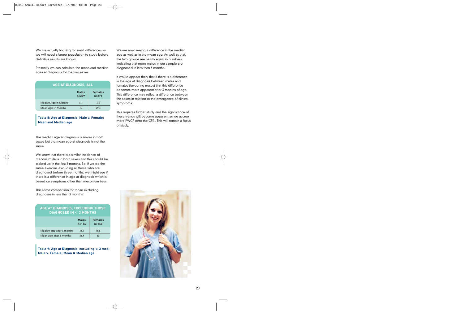We are actually looking for small differences so we will need a larger population to study before definitive results are known.

Presently we can calculate the mean and median ages at diagnosis for the two sexes.

|                      | AGE AT DIAGNOSIS, ALL     |                             |  |  |  |  |  |  |
|----------------------|---------------------------|-----------------------------|--|--|--|--|--|--|
|                      | <b>Males</b><br>$n = 289$ | <b>Females</b><br>$n = 271$ |  |  |  |  |  |  |
| Median Age in Months | 3.1                       | 3.3                         |  |  |  |  |  |  |
| Mean Age in Months   | 19                        | 29.4                        |  |  |  |  |  |  |

#### **Table 8: Age at Diagnosis, Male v. Female; Mean and Median age**

The median age at diagnosis is similar in both sexes but the mean age at diagnosis is not the same.

We know that there is a similar incidence of meconium ileus in both sexes and this should be picked up in the first 3 months. So, if we do the same exercise, excluding all those who are diagnosed before three months, we might see if there is a difference in age at diagnosis which is based on symptoms other than meconium ileus.

This same comparison for those excluding diagnoses in less than 3 months:

|                           | AGE AT DIAGNOSIS, EXCLUDING THOSE<br>DIAGNOSED IN $<$ 3 months |                             |  |  |  |  |  |
|---------------------------|----------------------------------------------------------------|-----------------------------|--|--|--|--|--|
|                           | <b>Males</b><br>$n = 146$                                      | <b>Females</b><br>$n = 148$ |  |  |  |  |  |
| Median age after 3 months | 13.1                                                           | 16.6                        |  |  |  |  |  |
| Mean age after 3 months   | 36.4                                                           | 53                          |  |  |  |  |  |

#### **Table 9: Age at Diagnosis, excluding** < **3 mos; Male v. Female; Mean & Median age**

We are now seeing a difference in the median age as well as in the mean age. As well as that, the two groups are nearly equal in numbers indicating that more males in our sample are diagnosed in less than 3 months.

It would appear then, that if there is a difference in the age at diagnosis between males and females (favouring males) that this difference becomes more apparent after 3 months of age. This difference may reflect a difference between the sexes in relation to the emergence of clinical symptoms.

This requires further study and the significance of these trends will become apparent as we accrue more PWCF onto the CFRI. This will remain a focus of study.

![](_page_24_Picture_12.jpeg)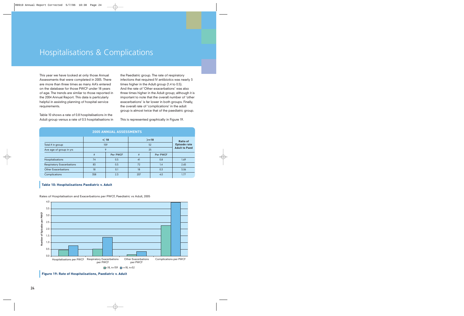### Hospitalisations & Complications

This year we have looked at only those Annual Assessments that were completed in 2005. There are more than three times as many AA's entered on the database for those PWCF under 18 years of age. The trends are similar to those reported in the 2004 Annual Report. This data is particularly helpful in assisting planning of hospital service requirements.

Table 10 shows a rate of 0.8 hospitalisations in the Adult group versus a rate of 0.5 hospitalisations in the Paediatric group. The rate of respiratory infections that required IV antibiotics was nearly 3 times higher in the Adult group (1.4 to 0.5). And the rate of 'Other exacerbations' was also three times higher in the Adult group; although it is important to note that the overall number of 'other exacerbations' is far lower in both groups. Finally, the overall rate of 'complications' in the adult group is almost twice that of the paediatric group.

This is represented graphically in Figure 19.

| ZUUJ ANNUAL AJJEJJMEN I J        |     |                  |     |                      |                 |  |  |  |  |  |  |
|----------------------------------|-----|------------------|-----|----------------------|-----------------|--|--|--|--|--|--|
|                                  |     | $<$ 18           |     | $>=18$               | <b>Ratio of</b> |  |  |  |  |  |  |
| Total # in group                 |     | 159              | 52  | <b>Episode rate</b>  |                 |  |  |  |  |  |  |
| Ave age of group in yrs          |     |                  | 25  | <b>Adult to Paed</b> |                 |  |  |  |  |  |  |
|                                  | #   | Per PWCF         | #   | Per PWCF             |                 |  |  |  |  |  |  |
| <b>Hospitalisations</b>          | 74  | 0.5              | 41  | 0.8                  | 1.69            |  |  |  |  |  |  |
| <b>Respiratory Exacerbations</b> | 83  | 0.5              | 72  | 1.4                  | 2.65            |  |  |  |  |  |  |
| <b>Other Exacerbations</b>       | 18  | 0.1<br>18<br>0.3 |     |                      | 3.06            |  |  |  |  |  |  |
| Complications                    | 358 | 2.3              | 207 | 4.0                  | 1.77            |  |  |  |  |  |  |

#### **2005 ANNUAL ASSESSMENTS**

#### **Table 10: Hospitalisations Paediatric v. Adult**

Rates of Hospitalisation and Exacerbations per PWCF, Paediatric vs Adult, 2005

![](_page_25_Figure_9.jpeg)

**Figure 19: Rate of Hospitalisations, Paediatric v. Adult**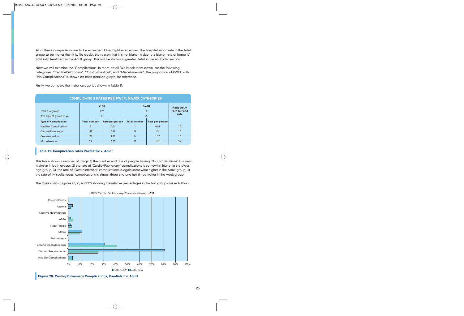All of these comparisons are to be expected. One might even expect the hospitalisation rate in the Adult group to be higher than it is. No doubt, the reason that it is not higher is due to a higher rate of home IV antibiotic treatment in the Adult group. This will be shown in greater detail in the antibiotic section.

Now we will examine the 'Complications' in more detail. We break them down into the following categories: "Cardio/Pulmonary", "Gastrointestinal", and "Miscellaneous". The proportion of PWCF with "No Complications" is shown on each detailed graph, for reference.

Firstly, we compare the major categories shown in Table 11.

| <b>COMPLICATION RATES PER PWCF, MAJOR CATEGORIES</b> |                     |                 |                     |                    |              |  |  |  |  |  |
|------------------------------------------------------|---------------------|-----------------|---------------------|--------------------|--------------|--|--|--|--|--|
|                                                      |                     | $<$ 18          | $>=18$              | <b>Ratio Adult</b> |              |  |  |  |  |  |
| Total # in group                                     |                     | 159             |                     | 52                 | rate to Paed |  |  |  |  |  |
| Ave age of group in yrs                              | 25<br>9             |                 | rate                |                    |              |  |  |  |  |  |
| <b>Type of Complication</b>                          | <b>Total number</b> | Rate per person | <b>Total number</b> | Rate per person    |              |  |  |  |  |  |
| <b>Had No Complication</b>                           | 6                   | 0.04            | $\mathcal{P}$       | 0.04               | 1.0          |  |  |  |  |  |
| Cardio/Pulmonary                                     | 138<br>0.87         |                 | 68                  | 1.31               | 1.5          |  |  |  |  |  |
| Gastrointestinal                                     | 161                 | 1.01            | 66                  | 1.27               | 1.3          |  |  |  |  |  |
| <b>Miscellaneous</b>                                 | 55                  | 0.35            | 62                  | 1.19               | 3.4          |  |  |  |  |  |

#### **Table 11: Complication rates Paediatric v. Adult**

This table shows a number of things: 1) the number and rate of people having 'No complications' in a year is similar in both groups; 2) the rate of 'Cardio/Pulmonary' complications is somewhat higher in the older age group; 3) the rate of 'Gastrointestinal' complications is again somewhat higher in the Adult group; 4) the rate of 'Miscellaneous' complications is almost three and one half times higher in the Adult group.

The three charts (Figures 20, 21, and 22) showing the relative percentages in the two groups are as follows:

![](_page_26_Figure_7.jpeg)

2005 Cardio/Pulmonary Complications, n=211

**Figure 20: Cardio/Pulmonary Complications, Paediatric v. Adult**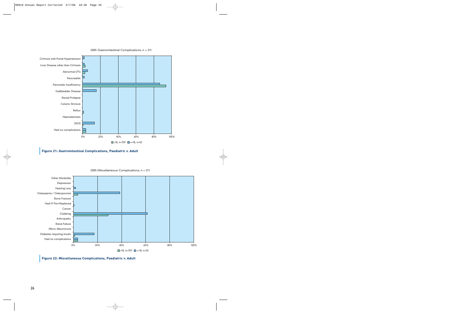![](_page_27_Figure_0.jpeg)

#### 2005 Gastrointestinal Complications, n = 211

![](_page_27_Figure_2.jpeg)

![](_page_27_Figure_3.jpeg)

2005 Miscellaneous Complications, n = 211

**Figure 22: Miscellaneous Complications, Paediatric v. Adult**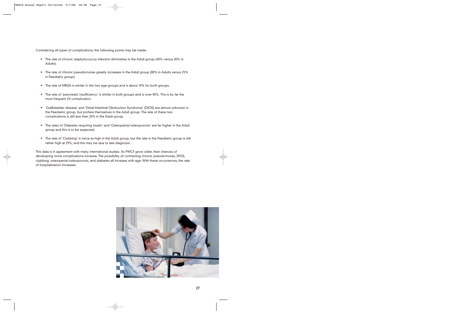Considering all types of complications, the following points may be made:

- **•** The rate of chronic staphylococcus infection diminishes in the Adult group (40% versus 30% in Adults).
- **•** The rate of chronic pseudomonas greatly increases in the Adult group (80% in Adults versus 25% in Paediatric group).
- **•** The rate of MRSA is similar in the two age groups and is about 10% for both groups.
- **•** The rate of 'pancreatic insufficiency' is similar in both groups and is over 85%. This is by far the most frequent GI complication.
- **•** 'Gallbladder disease' and 'Distal Intestinal Obstruction Syndrome' (DIOS) are almost unknown in the Paediatric group, but profess themselves in the Adult group. The rate of these two complications is still less than 20% in the Adult group.
- **•** The rates of 'Diabetes requiring insulin' and 'Osteopenia/osteoporosis' are far higher in the Adult group and this is to be expected.
- **•** The rate of 'Clubbing' is twice as high in the Adult group, but the rate in the Paediatric group is still rather high at 29%; and this may be due to late diagnosis.

This data is in agreement with many international studies. As PWCF grow older, their chances of developing more complications increase. The possibility of contracting chronic pseudomonas, DIOS, clubbing, osteopenia/osteoporosis, and diabetes all increase with age. With these occurrences, the rate of hospitalisation increases.

![](_page_28_Picture_9.jpeg)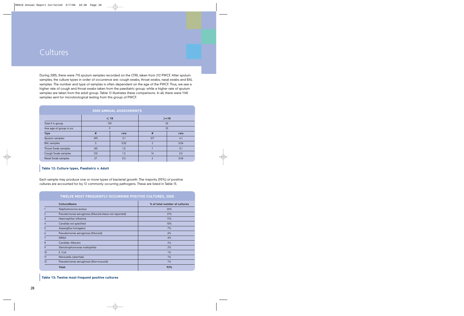### **Cultures**

During 2005, there were 710 sputum samples recorded on the CFRI, taken from 212 PWCF. After sputum samples, the culture types in order of occurrence are: cough swabs, throat swabs, nasal swabs and BAL samples. The number and type of samples is often dependent on the age of the PWCF. Thus, we see a higher rate of cough and throat swabs taken from the paediatric group; while a higher rate of sputum samples are taken from the adult group. Table 12 illustrates these comparisons. In all, there were 1140 samples sent for microbiological testing from this group of PWCF.

|                            |                | 2005 ANNUAL ASSESSMENTS |                |      |  |
|----------------------------|----------------|-------------------------|----------------|------|--|
|                            |                | $<$ 18                  | $>=18$         |      |  |
| Total # in group           |                | 159                     |                | 53   |  |
| Ave age of group in yrs    |                | 9                       | 25             |      |  |
| <b>Type</b>                | #              | rate                    | #              | rate |  |
| Sputum samples             | 493            | 3.1                     | 217            | 4.1  |  |
| <b>BAL</b> samples         | $\overline{3}$ | 0.02                    | $\overline{2}$ | 0.04 |  |
| <b>Throat Swab samples</b> | 165            | 1.0                     | 7              | 0.1  |  |
| Cough Swab samples         | 210            | 1.3                     | 14             | 0.3  |  |
| Nasal Swab samples         | 27             | 0.2                     | $\overline{2}$ | 0.04 |  |

#### **Table 12: Culture types, Paediatric v. Adult**

Each sample may produce one or more types of bacterial growth. The majority (93%) of positive cultures are accounted for by 12 commonly occurring pathogens. These are listed in Table 13.

|    | TWELVE MOST FREQUENTLY OCCURRING POSITIVE CULTURES, 2005 |                               |  |  |  |  |  |
|----|----------------------------------------------------------|-------------------------------|--|--|--|--|--|
|    | <b>CultureName</b>                                       | % of total number of cultures |  |  |  |  |  |
|    | Staphylococcus aureus                                    | 26%                           |  |  |  |  |  |
|    | Pseudomonas aeruginosa (Mucoid status not reported)      | 21%                           |  |  |  |  |  |
| 3  | Haemophilus influenza                                    | 11%                           |  |  |  |  |  |
|    | Candida not specified                                    | 10%                           |  |  |  |  |  |
| 5  | Aspergillus fumagatus                                    | 7%                            |  |  |  |  |  |
| 6  | Pseudomonas aeruginosa (Mucoid)                          | 6%                            |  |  |  |  |  |
|    | <b>MRSA</b>                                              | 4%                            |  |  |  |  |  |
| 8  | Candida: Albicans                                        | 2%                            |  |  |  |  |  |
| 9  | Stenotrophomonas maltophilia                             | 2%                            |  |  |  |  |  |
| 10 | E. Coli                                                  | 1%                            |  |  |  |  |  |
| 11 | Moroxella catarrhalis                                    | 1%                            |  |  |  |  |  |
| 12 | Pseudomonas aeruginosa (Non-mucoid)                      | 1%                            |  |  |  |  |  |
|    | <b>Total</b>                                             | 93%                           |  |  |  |  |  |

#### **Table 13: Twelve most frequent positive cultures**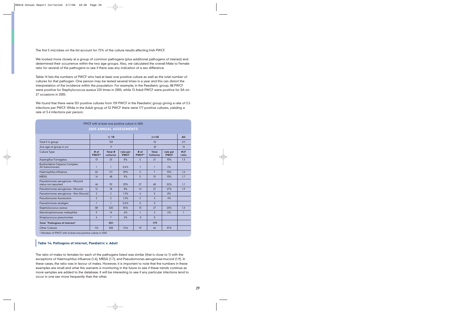The first 5 microbes on the list account for 75% of the culture results affecting Irish PWCF.

We looked more closely at a group of common pathogens (plus additional pathogens of interest) and determined their occurrence within the two age groups. Also, we calculated the overall Male to Female ratio for several of the pathogens to see if there was any indication of a sex difference.

Table 14 lists the numbers of PWCF who had at least one positive culture as well as the total number of cultures for that pathogen. One person may be tested several times in a year and this can distort the interpretation of the incidence within the population. For example, in the Paediatric group, 88 PWCF were positive for Staphylococcus aureus 220 times in 2005; while 13 Adult PWCF were positive for SA on 27 occasions in 2005.

We found that there were 551 positive cultures from 159 PWCF in the Paediatric group giving a rate of 3.5 infections per PWCF. While in the Adult group of 52 PWCF there were 177 positive cultures, yielding a rate of 3.4 infections per person.

|                                                        |                | PWCF with at least one positive culture in 2005 |                         |                 |                                 |                         |               |
|--------------------------------------------------------|----------------|-------------------------------------------------|-------------------------|-----------------|---------------------------------|-------------------------|---------------|
|                                                        |                | 2005 ANNUAL ASSESSMENTS                         |                         |                 |                                 |                         |               |
|                                                        |                |                                                 |                         |                 |                                 |                         |               |
|                                                        |                | $<$ 18                                          |                         |                 | $>=18$                          |                         | <b>All</b>    |
| Total # in group                                       |                | 159                                             |                         |                 | 52                              |                         | 211           |
| Ave age of group in yrs                                |                | 9                                               |                         |                 | 25                              |                         | 13            |
| <b>Culture Type</b>                                    | # of<br>PWCF*  | Total #<br>cultures                             | rate per<br><b>PWCF</b> | # $of$<br>PWCF* | <b>Total</b><br><b>Cultures</b> | rate per<br><b>PWCF</b> | M: F<br>ratio |
| Aspergillus Fumagatus                                  | 13             | 25                                              | 8%                      | 5               | 21                              | 10%                     | 1.3           |
| Burkholderia Cepacia Complex:<br><b>All Genomovars</b> | $\mathbf{1}$   | $\mathbf{1}$                                    | 0.6%                    | $\mathbf{1}$    | $\mathbf{1}$                    | 2%                      |               |
| Haemophilus Influenza                                  | 62             | 121                                             | 39%                     | 5               | $7\overline{ }$                 | 10%                     | 1.6           |
| <b>MRSA</b>                                            | 14             | 48                                              | 9%                      | 5               | 15                              | 10%                     | 1.7           |
| Pseudomonas aeruginosa - Mucoid<br>status not reported | 46             | 92                                              | 29%                     | 27              | 68                              | 52%                     | 1.1           |
| Pseudomonas aeruginosa - Mucoid                        | 12             | 18                                              | 8%                      | 14              | 27                              | 27%                     | 1.9           |
| Pseudomonas aeruginosa - Non Mucoid                    | $\overline{2}$ | $\overline{2}$                                  | 1.3%                    | $\overline{4}$  | 5                               | 8%                      |               |
| Pseudomonas fluorescens                                | $\mathfrak{p}$ | $\mathcal{P}$                                   | 1.3%                    | $\mathfrak{p}$  | $\overline{4}$                  | 4%                      |               |
| Pseudomonas alcaligen                                  | $\mathbf{1}$   | $\mathbf{1}$                                    | 0.6%                    | $\Omega$        | $\Omega$                        |                         |               |
| Staphylococcus aureus                                  | 88             | 220                                             | 55%                     | 13              | 27                              | 25%                     | 1.3           |
| Stenotrophomonas maltophilia                           | 9              | 14                                              | 6%                      | $\mathbf{1}$    | $\mathfrak{p}$                  | 2%                      | $\mathbf{1}$  |
| Streptococcus pneumoniae                               | 6              | $\overline{7}$                                  | 4%                      | $\mathbf{0}$    | $\overline{0}$                  |                         |               |
| <b>Total "Pathognes of Interest"</b>                   |                | 551                                             |                         |                 | 177                             |                         |               |
| <b>Other Cultures</b>                                  | 115            | 358                                             | 72%                     | 19              | 66                              | 37%                     |               |

\*=Number of PWCF with at least one positive culture in 2005

#### **Table 14: Pathogens of interest, Paediatric v. Adult**

The ratio of males to females for each of the pathogens listed was similar (that is close to 1) with the exceptions of Haemophilus influenza (1.6); MRSA (1.7); and Pseudomonas aeruginosa-mucoid (1.9). In these cases, the ratio was in favour of males. However, it is important to note that the numbers in these examples are small and what this warrants is monitoring in the future to see if these trends continue as more samples are added to the database. It will be interesting to see if any particular infections tend to occur in one sex more frequently than the other.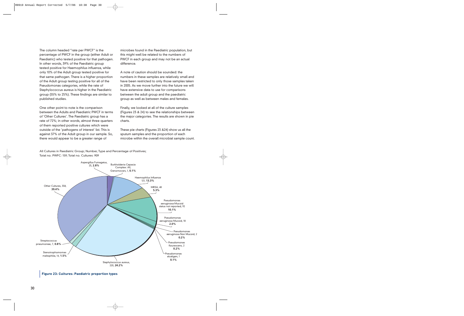The column headed "rate per PWCF" is the percentage of PWCF in the group (either Adult or Paediatric) who tested positive for that pathogen. In other words, 39% of the Paediatric group tested positive for Haemophilus influenza, while only 10% of the Adult group tested positive for that same pathogen. There is a higher proportion of the Adult group testing positive for all of the Pseudomonas categories, while the rate of Staphylococcus aureus is higher in the Paediatric group (55% to 25%). These findings are similar to published studies.

One other point to note is the comparison between the Adults and Paediatric PWCF in terms of 'Other Cultures'. The Paediatric group has a rate of 72%; in other words, almost three quarters of them reported positive cultures which were outside of the 'pathogens of interest' list. This is against 37% of the Adult group in our sample. So, there would appear to be a greater range of

microbes found in the Paediatric population, but this might well be related to the numbers of PWCF in each group and may not be an actual difference.

A note of caution should be sounded: the numbers in these samples are relatively small and have been restricted to only those samples taken in 2005. As we move further into the future we will have extensive data to use for comparisons between the adult group and the paediatric group as well as between males and females.

Finally, we looked at all of the culture samples (Figures 23 & 24) to see the relationships between the major categories. The results are shown in pie charts.

These pie charts (Figures 23 &24) show us all the sputum samples and the proportion of each microbe within the overall microbial sample count.

All Cultures in Paediatric Group; Number, Type and Percentage of Positives; Total no. PWFC: 159; Total no. Cultures: 909

![](_page_31_Figure_7.jpeg)

**Figure 23: Cultures: Paediatric proportion types**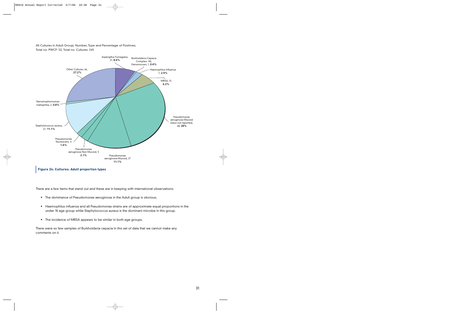All Cultures in Adult Group; Number, Type and Percentage of Positives; Total no. PWCF: 52; Total no. Cultures: 243

![](_page_32_Figure_1.jpeg)

**Figure 24: Cultures: Adult proportion types**

There are a few items that stand out and these are in keeping with international observations:

- **•** The dominance of Pseudomonas aeruginosa in the Adult group is obvious;
- **•** Haemophilus influenza and all Pseudomonas strains are of approximate equal proportions in the under 18 age group while Staphylococcus aureus is the dominant microbe in this group.
- **•**The incidence of MRSA appears to be similar in both age groups.

There were so few samples of Burkholderia cepacia in this set of data that we cannot make any comments on it.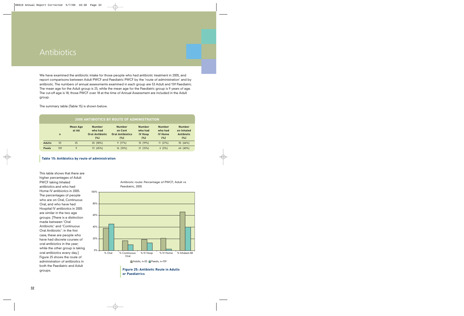### Antibiotics

We have examined the antibiotic intake for those people who had antibiotic treatment in 2005, and report comparisons between Adult PWCF and Paediatric PWCF by the 'route of administration' and by antibiotic. The numbers of annual assessments examined in each group are 53 Adult and 159 Paediatric. The mean age for the Adult group is 25, while the mean age for the Paediatric group is 9 years of age. The cut-off age is 18; those PWCF over 18 at the time of Annual Assessment are included in the Adult group.

The summary table (Table 15) is shown below.

|               |              |                          |                                                           | <b>2005 ANTIBIOTICS BY ROUTE OF ADMINISTRATION</b>         |                                                   |                                                   |                                                         |
|---------------|--------------|--------------------------|-----------------------------------------------------------|------------------------------------------------------------|---------------------------------------------------|---------------------------------------------------|---------------------------------------------------------|
|               | $\mathsf{n}$ | <b>Mean Age</b><br>at AA | <b>Number</b><br>who had<br><b>Oral Antibiotic</b><br>(%) | <b>Number</b><br>on Cont<br><b>Oral Antibiotics</b><br>(%) | <b>Number</b><br>who had<br><b>IV Hosp</b><br>(%) | <b>Number</b><br>who had<br><b>IV Home</b><br>(%) | <b>Number</b><br>on Inhaled<br><b>Antibiotic</b><br>(%) |
| <b>Adults</b> | 53           | 25                       | 20 (38%)                                                  | 9(17%)                                                     | 10 (19%)                                          | 11(21%)                                           | 35 (66%)                                                |
| <b>Paeds</b>  | 159          | 9                        | 72 (45%)                                                  | 16 (10%)                                                   | 21 (13%)                                          | 4(3%)                                             | 64 (40%)                                                |

#### **Table 15: Antibiotics by route of administration**

This table shows that there are higher percentages of Adult PWCF taking Inhaled antibiotics and who had Home IV antibiotics in 2005. The percentages of people who are on Oral, Continuous Oral, and who have had Hospital IV antibiotics in 2005 are similar in the two age groups. [There is a distinction made between 'Oral Antibiotic' and 'Continuous Oral Antibiotic': in the first case, these are people who have had discrete courses of oral antibiotics in the year; while the other group is taking oral antibiotics every day.] Figure 25 shows the route of administration of antibiotics in both the Paediatric and Adult groups.

![](_page_33_Figure_6.jpeg)

Antibiotic route: Percentage of PWCF; Adult vs Paediatric, 2005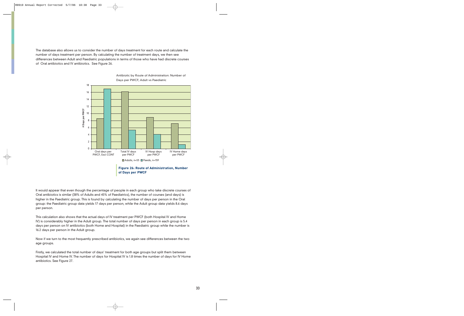The database also allows us to consider the number of days treatment for each route and calculate the number of days treatment per person. By calculating the number of treatment days, we then see differences between Adult and Paediatric populations in terms of those who have had discrete courses of Oral antibiotics and IV antibiotics. See Figure 26.

![](_page_34_Figure_1.jpeg)

Antibiotic by Route of Administration: Number of Days per PWCF; Adult vs Paediatric

It would appear that even though the percentage of people in each group who take discrete courses of Oral antibiotics is similar (38% of Adults and 45% of Paediatrics), the number of courses (and days) is higher in the Paediatric group. This is found by calculating the number of days per person in the Oral group: the Paediatric group data yields 17 days per person, while the Adult group data yields 8.6 days per person.

This calculation also shows that the actual days of IV treatment per PWCF (both Hospital IV and Home IV) is considerably higher in the Adult group. The total number of days per person in each group is 5.4 days per person on IV antibiotics (both Home and Hospital) in the Paediatric group while the number is 16.2 days per person in the Adult group.

Now if we turn to the most frequently prescribed antibiotics, we again see differences between the two age groups.

Firstly, we calculated the total number of days' treatment for both age groups but split them between Hospital IV and Home IV. The number of days for Hospital IV is 1.8 times the number of days for IV Home antibiotics. See Figure 27.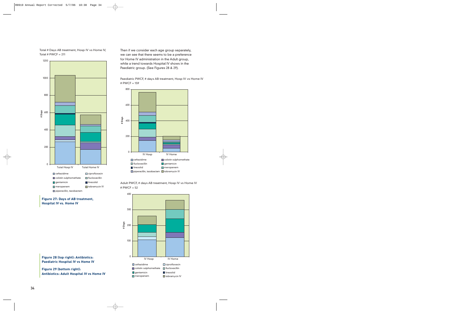![](_page_35_Figure_0.jpeg)

Total # Days AB treatment, Hosp IV vs Home IV,

**Figure 27: Days of AB treatment, Hospital IV vs. Home IV**

Then if we consider each age group separately, we can see that there seems to be a preference for Home IV administration in the Adult group, while a trend towards Hospital IV shows in the Paediatric group. (See Figures 28 & 29).

Paediatric PWCF, # days AB treatment, Hosp IV vs Home IV  $#$  PWCF = 159

![](_page_35_Figure_4.jpeg)

![](_page_35_Figure_5.jpeg)

![](_page_35_Figure_6.jpeg)

**Figure 28 (top right): Antibiotics: Paediatric Hospital IV vs Home IV**

**Figure 29 (bottom right): Antibiotics: Adult Hospital IV vs Home IV**

Total  $#$  PWCF = 211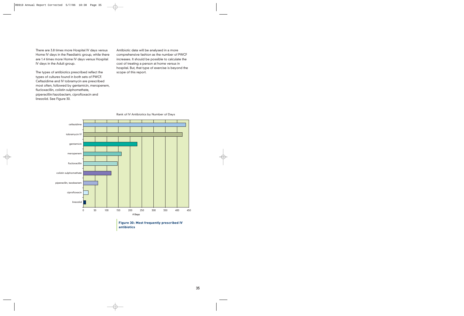There are 3.8 times more Hospital IV days versus Home IV days in the Paediatric group, while there are 1.4 times more Home IV days versus Hospital IV days in the Adult group.

The types of antibiotics prescribed reflect the types of cultures found in both sets of PWCF. Ceftazidime and IV tobramycin are prescribed most often, followed by gentamicin, meropenem, flucloxacillin, colistin sulphomethate, piperacillin/tazobactam, ciprofloxacin and linezolid. See Figure 30.

Antibiotic data will be analysed in a more comprehensive fashion as the number of PWCF increases. It should be possible to calculate the cost of treating a person at home versus in hospital. But, that type of exercise is beyond the scope of this report.

![](_page_36_Figure_3.jpeg)

Rank of IV Antibiotics by Number of Days

**antibiotics**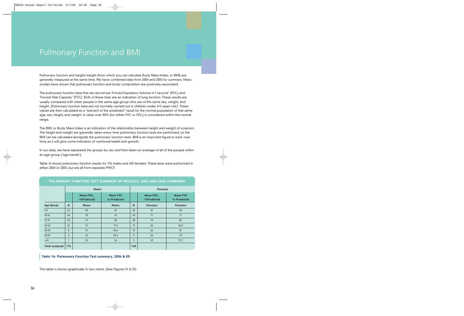### Pulmonary Function and BMI

Pulmonary function and height/weight (from which you can calculate Body Mass Index, or BMI) are generally measured at the same time. We have combined data from 2004 and 2005 for summary. Many studies have shown that pulmonary function and body composition are positively associated.

The pulmonary function tests that we record are 'Forced Expiratory Volume in 1 second' (FEV<sub>1</sub>) and 'Forced Vital Capacity' (FVC). Both of these tests are an indication of lung function. These results are usually compared with other people in the same age group who are of the same sex, weight, and height. [Pulmonary function tests are not normally carried out in children under 4/5 years old.] These values are then calculated as a "percent of the predicted" result for the normal population of that same age, sex, height, and weight. A value over 80% (for either FVC or FEV<sub>1</sub>) is considered within the normal range.

The BMI, or Body Mass Index is an indication of the relationship between height and weight of a person. The height and weight are generally taken every time pulmonary function tests are performed, so the BMI can be calculated alongside the pulmonary function tests. BMI is an important figure to track over time, as it will give some indication of nutritional health and growth.

In our data, we have separated the groups by sex and then taken an average of all of the people within an age group ('age bands').

Table 16 shows pulmonary function results for 176 males and 160 females. These tests were performed in either 2004 or 2005, but are all from separate PWCF.

|                       | <b>Males</b> |                                      |                                |     | <b>Females</b>                       |                                |
|-----------------------|--------------|--------------------------------------|--------------------------------|-----|--------------------------------------|--------------------------------|
|                       |              | Mean FEV <sub>1</sub><br>-%Predicted | <b>Mean FVC</b><br>%-Predicted |     | Mean FEV <sub>1</sub><br>-%Predicted | <b>Mean FVC</b><br>%-Predicted |
| <b>Age Bands</b>      | N            | <b>Males</b>                         | <b>Males</b>                   | N   | <b>Females</b>                       | <b>Females</b>                 |
| $5-9$                 | 52           | 90                                   | 92                             | 39  | 81                                   | 82                             |
| $10-14$               | 44           | 70                                   | 79                             | 40  | 71                                   | 77                             |
| $15-19$               | 40           | 72                                   | 86                             | 38  | 70                                   | 82                             |
| $20 - 24$             | 25           | 57                                   | 71.5                           | 19  | 56                                   | 68.3                           |
| 25-29                 | 8            | 54                                   | 60.6                           | 10  | 62                                   | 81                             |
| 30-39                 | 6            | 32                                   | 59.3                           | 11  | 56                                   | 70                             |
| $>40$                 | 1            | 32                                   | 56                             | 3   | 53                                   | 75.7                           |
| <b>Total analysed</b> | 176          |                                      |                                | 160 |                                      |                                |

#### **PULMONARY FUNCTION TEST SUMMARY OF RESULTS, 2004 AND 2005 COMBINED**

#### **Table 16: Pulmonary Function Test summary, 2004 & 05**

This table is shown graphically in two charts. (See Figures 31 & 32)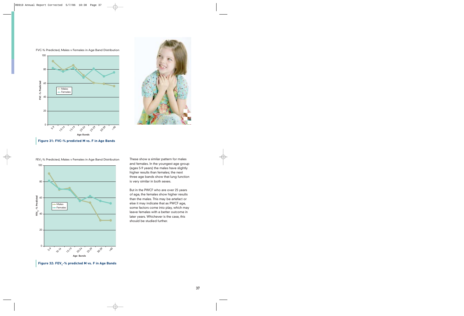![](_page_38_Figure_0.jpeg)

FVC-% Predicted, Males v Females in Age Band Distribution

![](_page_38_Picture_2.jpeg)

**Figure 31: FVC-% predicted M vs. F in Age Bands**

![](_page_38_Figure_4.jpeg)

FEV<sub>1</sub>-% Predicted, Males v Females in Age Band Distribution

These show a similar pattern for males and females. In the youngest age group (ages 5-9 years) the males have slightly higher results than females; the next three age bands show that lung function is very similar in both sexes.

But in the PWCF who are over 25 years of age, the females show higher results than the males. This may be artefact or else it may indicate that as PWCF age, some factors come into play, which may leave females with a better outcome in later years. Whichever is the case, this should be studied further.

**Figure 32: FEV<sub>1</sub>-% predicted M vs. F in Age Bands**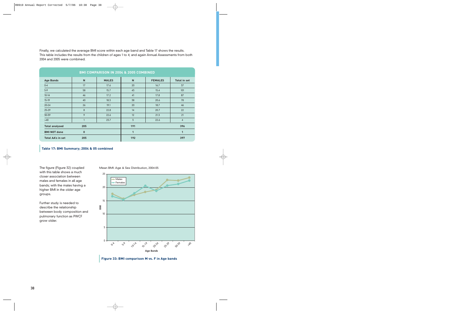Finally, we calculated the average BMI score within each age band and Table 17 shows the results. This table includes the results from the children of ages 1 to 4; and again Annual Assessments from both 2004 and 2005 were combined.

|                          |              | <b>BMI COMPARISON IN 2004 &amp; 2005 COMBINED</b> |                |                |                     |
|--------------------------|--------------|---------------------------------------------------|----------------|----------------|---------------------|
| <b>Age Bands</b>         | $\mathsf{N}$ | <b>MALES</b>                                      | $\mathsf{N}$   | <b>FEMALES</b> | <b>Total in set</b> |
| $0 - 4$                  | 17           | 17.6                                              | 20             | 16.7           | 37                  |
| $5-9$                    | 58           | 15.7                                              | 43             | 15.4           | 101                 |
| $10-14$                  | 46           | 17.2                                              | 41             | 17.8           | 87                  |
| $15-19$                  | 40           | 18.3                                              | 38             | 20.6           | 78                  |
| $20 - 24$                | 26           | 19.1                                              | 20             | 18.7           | 46                  |
| 25-29                    | 8            | 22.8                                              | 14             | 20.7           | 22                  |
| 30-39                    | 9            | 22.6                                              | 12             | 21.3           | 21                  |
| $>40$                    |              | 23.7                                              | $\overline{3}$ | 22.6           | $\overline{4}$      |
| <b>Total analysed</b>    | 205          |                                                   | 191            |                | 396                 |
| <b>BMI NOT done</b>      | $\bf{0}$     |                                                   | $\mathbf{1}$   |                | $\mathbf{1}$        |
| <b>Total AA's in set</b> | 205          |                                                   | 192            |                | 397                 |

#### **Table 17: BMI Summary; 2004 & 05 combined**

The figure (Figure 32) coupled with this table shows a much closer association between males and females in all age bands; with the males having a higher BMI in the older age groups.

Further study is needed to describe the relationship between body composition and pulmonary function as PWCF grow older.

Mean BMI: Age & Sex Distribution, 2004-05

![](_page_39_Figure_6.jpeg)

**Figure 33: BMI comparison M vs. F in Age bands**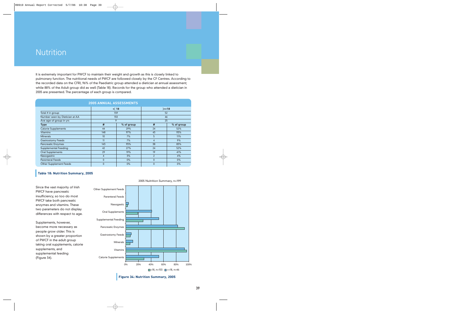### Nutrition

It is extremely important for PWCF to maintain their weight and growth as this is closely linked to pulmonary function. The nutritional needs of PWCF are followed closely by the CF Centres. According to the recorded data on the CFRI, 96% of the Paediatric group attended a dietician at annual assessment; while 88% of the Adult group did as well (Table 18). Records for the group who attended a dietician in 2005 are presented. The percentage of each group is compared.

| <b>2005 ANNUAL ASSESSMENTS</b> |              |            |                |            |  |
|--------------------------------|--------------|------------|----------------|------------|--|
|                                | $<$ 18       |            | $>=18$         |            |  |
| Total # in group               | 159          |            | 52             |            |  |
| Number seen by Dietician at AA | 153          |            | 46             |            |  |
| Ave age of group in yrs        | 9            |            | 25             |            |  |
| <b>Type</b>                    | #            | % of group | #              | % of group |  |
| <b>Calorie Supplements</b>     | 44           | 29%        | 24             | 52%        |  |
| <b>Vitamins</b>                | 148          | 97%        | 43             | 93%        |  |
| <b>Minerals</b>                | 10           | 7%         | 5              | 11%        |  |
| <b>Gastrostomy Feeds</b>       | 11           | 7%         | $\overline{4}$ | 9%         |  |
| <b>Pancreatic Enzymes</b>      | 143          | 93%        | 38             | 83%        |  |
| <b>Supplemental Feeding</b>    | 42           | 27%        | 24             | 52%        |  |
| <b>Oral Supplements</b>        | 29           | 19%        | 19             | 41%        |  |
| Nasogastric                    | 4            | 3%         | $\overline{2}$ | 4%         |  |
| <b>Parenteral Feeds</b>        | $\mathbf{0}$ | $0\%$      | $\mathbf{0}$   | $0\%$      |  |
| <b>Other Supplement Feeds</b>  | $\mathbf{0}$ | $0\%$      | $\mathbf{0}$   | 0%         |  |

#### **Table 18: Nutrition Summary, 2005**

Since the vast majority of Irish PWCF have pancreatic insufficiency, so too do most PWCF take both pancreatic enzymes and vitamins. These two parameters do not display differences with respect to age.

Supplements, however, become more necessary as people grow older. This is shown by a greater proportion of PWCF in the adult group taking oral supplements, calorie supplements, and supplemental feeding (Figure 34).

![](_page_40_Figure_6.jpeg)

#### **Figure 34: Nutrition Summary, 2005**

2005 Nuitrition Summary, n=199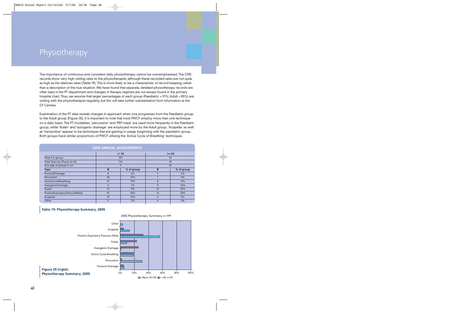## Physiotherapy

The importance of continuous and consistent daily physiotherapy cannot be overemphasised. The CFRI records show very high visiting rates to the physiotherapist, although these recorded rates are not quite as high as the dietician rates (Table 19). This is more likely to be a characteristic of record keeping, rather than a description of the true situation. We have found that separate, detailed physiotherapy records are often kept in the PT department and changes in therapy regimes are not always found in the primary hospital chart. Thus, we assume that larger percentages of each group (Paediatric = 91%; Adult = 83%) are visiting with the physiotherapist regularly, but this will take further substantiation from information at the CF Centres.

Examination of the PT data reveals changes in approach when one progresses from the Paediatric group to the Adult group (Figure 35). It is important to note that most PWCF employ more than one technique on a daily basis. The PT modalities, 'percussion' and 'PEP mask' are used more frequently in the Paediatric group, while 'flutter' and 'autogenic drainage' are employed more by the Adult group. 'Acapella' as well as 'trampoline' appear to be techniques that are gaining in usage, beginning with the paediatric group. Both groups have similar proportions of PWCF utilising the 'Active Cycle of Breathing' techniques.

| 2005 ANNUAL ASSESSMENTS        |                |            |                          |            |
|--------------------------------|----------------|------------|--------------------------|------------|
|                                | $<$ 18         |            | $>=18$                   |            |
| Total # in group               | 159            |            | 52                       |            |
| Total Seen by Physio at AA     | 145            |            | 43                       |            |
| Ave age of group in yrs        | 9              |            | 25                       |            |
| <b>Type</b>                    | #              | % of group | #                        | % of group |
| PosturalDrainage               | 8              | 6%         | $\overline{\phantom{a}}$ | 5%         |
| Percussion                     | 45             | 31%        |                          | 2%         |
| ActiveCycleBreathing           | 27             | 19%        | 8                        | 19%        |
| AutogenicDrainage              | $\overline{2}$ | 1%         | 11                       | 26%        |
| <b>Flutter</b>                 | 13             | 9%         | 10                       | 23%        |
| PositiveExpiratoryPressureMask | 81             | 56%        | 14                       | 33%        |
| Acapella                       | 19             | 13%        | $\overline{2}$           | 5%         |
| Other                          | 5              | 3%         | $\mathbf{0}$             | 0%         |

#### **Table 19: Physiotherapy Summary, 2005**

![](_page_41_Figure_5.jpeg)

#### 2005 Physiotherapy Summary, n=199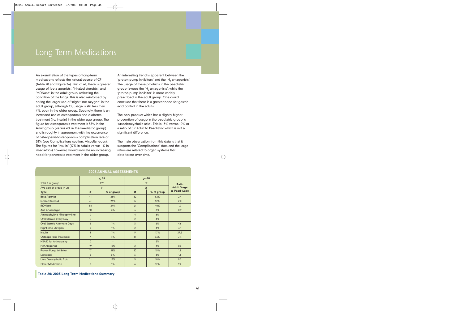### Long Term Medications

An examination of the types of long-term medications reflects the natural course of CF (Table 20 and Figure 36). First of all, there is greater usage of 'beta agonists', 'inhaled steroids', and 'rhDNase' in the adult group, reflecting the condition of the lungs. This is also reinforced by noting the larger use of 'night-time oxygen' in the adult group, although  $O<sub>2</sub>$  usage is still less than 4%, even in the older group. Secondly, there is an increased use of osteoporosis and diabetes treatment (i.e. insulin) in the older age group. The figure for osteoporosis treatment is 33% in the Adult group (versus 4% in the Paediatric group) and is roughly in agreement with the occurrence of osteopenia/osteoporosis complication rate of 38% (see Complications section, Miscellaneous). The figures for 'insulin' (17% in Adults versus 1% in Paediatrics) however, would indicate an increasing need for pancreatic treatment in the older group.

An interesting trend is apparent between the 'proton pump inhibitors' and the ' $H_2$  antagonists'. The usage of these products in the paediatric group favours the ' $H_2$  antagonists', while the 'proton pump inhibitor' is more widely prescribed in the adult group. One could conclude that there is a greater need for gastric acid control in the adults.

The only product which has a slightly higher proportion of usage in the paediatric group is 'ursodeoxycholic acid'. This is 13% versus 10% or a ratio of 0.7 Adult to Paediatric which is not a significant difference.

The main observation from this data is that it supports the 'Complications' data and the large ratios are related to organ systems that deteriorate over time.

|                                    |                | $<$ 18                   |                | $>=18$     |                   |
|------------------------------------|----------------|--------------------------|----------------|------------|-------------------|
| Total # in group                   | 159            |                          | 52             |            | <b>Ratio</b>      |
| Ave age of group in yrs            | 9              |                          | 25             |            | <b>Adult %age</b> |
| <b>Type</b>                        | #              | % of group               | #              | % of group | to Paed %age      |
| <b>Beta Agonist</b>                | 41             | 26%                      | 32             | 62%        | 2.4               |
| <b>Inhaled Steroid</b>             | 41             | 26%                      | 27             | 52%        | 2.0               |
| rhDNase                            | 38             | 24%                      | 21             | 40%        | 1.7               |
| Anti Cholinergic                   | 10             | 6%                       | $\overline{3}$ | 6%         | 0.9               |
| Aminophylline /Theophylline        | $\mathbf{0}$   | $\overline{\phantom{a}}$ | $\overline{4}$ | 8%         |                   |
| Oral Steroid Every Day             | $\mathbf{0}$   | ٠                        | $\overline{2}$ | 4%         |                   |
| <b>Oral Steroid Alternate Days</b> | $\overline{2}$ | 1%                       | $\overline{3}$ | 6%         | 4.6               |
| Night-time Oxygen                  | $\overline{2}$ | 1%                       | $\overline{2}$ | 4%         | 3.1               |
| Insulin                            | $\mathbf{1}$   | 1%                       | 9              | 17%        | 27.5              |
| <b>Osteoporosis Treatment</b>      | $\overline{7}$ | 4%                       | 17             | 33%        | 7.4               |
| <b>NSAID for Arthropathy</b>       | $\mathbf{0}$   | $\overline{\phantom{a}}$ | $\mathbf{1}$   | 2%         |                   |
| H <sub>2</sub> Antagonist          | 19             | 12%                      | $\overline{2}$ | 4%         | 0.3               |
| Proton Pump Inhibitor              | 17             | 11%                      | 10             | 19%        | 1.8               |
| Lactulose                          | 5              | 3%                       | $\overline{3}$ | 6%         | 1.8               |
| Urso Deoxycholic Acid              | 21             | 13%                      | 5              | 10%        | 0.7               |
| <b>Other Medication</b>            | $\overline{2}$ | 1%                       | 6              | 12%        | 9.2               |

#### **2005 ANNUAL ASSESSMENTS**

#### **Table 20: 2005 Long Term Medications Summary**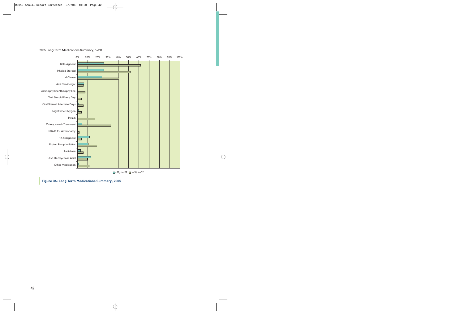![](_page_43_Figure_0.jpeg)

![](_page_43_Figure_1.jpeg)

 $\Box$  <18, n=159  $\Box$  >=18, n=52

**Figure 36: Long Term Medications Summary, 2005**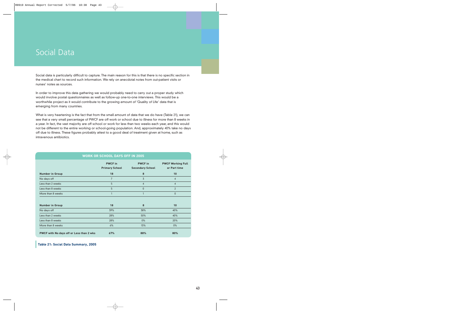### Social Data

Social data is particularly difficult to capture. The main reason for this is that there is no specific section in the medical chart to record such information. We rely on anecdotal notes from out-patient visits or nurses' notes as sources.

In order to improve this data gathering we would probably need to carry out a proper study which would involve postal questionnaires as well as follow-up one-to-one interviews. This would be a worthwhile project as it would contribute to the growing amount of 'Quality of Life' data that is emerging from many countries.

What is very heartening is the fact that from the small amount of data that we do have (Table 21), we can see that a very small percentage of PWCF are off work or school due to illness for more than 8 weeks in a year. In fact, the vast majority are off school or work for less than two weeks each year, and this would not be different to the entire working or school-going population. And, approximately 40% take no days off due to illness. These figures probably attest to a good deal of treatment given at home, such as intravenous antibiotics.

| <b>WORK OR SCHOOL DAYS OFF IN 2005</b>   |                                         |                                           |                                          |  |
|------------------------------------------|-----------------------------------------|-------------------------------------------|------------------------------------------|--|
|                                          | <b>PWCF</b> in<br><b>Primary School</b> | <b>PWCF</b> in<br><b>Secondary School</b> | <b>PWCF Working Full</b><br>or Part time |  |
| <b>Number in Group</b>                   | 18                                      | 8                                         | 10                                       |  |
| No days off                              | $\overline{7}$                          | 3                                         | 4                                        |  |
| Less than 2 weeks                        | 5                                       | $\overline{4}$                            | $\overline{4}$                           |  |
| Less than 8 weeks                        | 5                                       | $\mathbf{0}$                              | $\overline{2}$                           |  |
| More than 8 weeks                        | 1                                       | $\mathbf{1}$                              | $\mathbf{0}$                             |  |
| <b>Number in Group</b>                   | 18                                      | 8                                         | 10                                       |  |
| No days off                              | 39%                                     | 38%                                       | 40%                                      |  |
| Less than 2 weeks                        | 28%                                     | 50%                                       | 40%                                      |  |
| Less than 8 weeks                        | 28%                                     | $0\%$                                     | 20%                                      |  |
| More than 8 weeks                        | 6%                                      | 13%                                       | $0\%$                                    |  |
| PWCF with No days off or Less than 2 wks | 67%                                     | 88%                                       | 80%                                      |  |

**Table 21: Social Data Summary, 2005**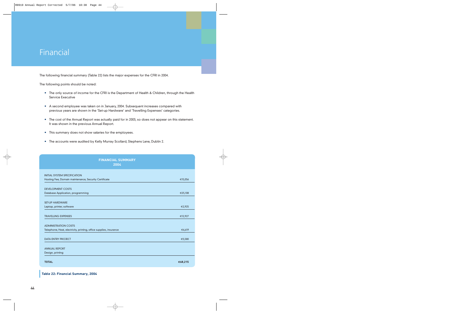### Financial

The following financial summary (Table 22) lists the major expenses for the CFRI in 2004.

The following points should be noted:

- **•** The only source of income for the CFRI is the Department of Health & Children, through the Health Service Executive
- **•** A second employee was taken on in January, 2004. Subsequent increases compared with previous years are shown in the 'Set-up Hardware' and 'Travelling Expenses' categories.
- **•** The cost of the Annual Report was actually paid for in 2003, so does not appear on this statement. It was shown in the previous Annual Report.
- **•** This summary does not show salaries for the employees.
- **•** The accounts were audited by Kelly Murray Scollard, Stephens Lane, Dublin 2.

| <b>FINANCIAL SUMMARY</b><br>2004                                   |         |
|--------------------------------------------------------------------|---------|
| <b>INITIAL SYSTEM SPECIFICATION</b>                                |         |
| Hosting Fee, Domain maintenance, Security Certificate              | €15,056 |
| <b>DEVELOPMENT COSTS</b>                                           |         |
| Database Application, programming                                  | €25,108 |
| <b>SET-UP HARDWARE</b>                                             |         |
| Laptop, printer, software                                          | €2,925  |
| <b>TRAVELLING EXPENSES</b>                                         | €12,927 |
| <b>ADMINISTRATION COSTS</b>                                        |         |
| Telephone, Heat, electricity, printing, office supplies, insurance | €6,619  |
| <b>DATA ENTRY PROJECT</b>                                          | €5,580  |
| <b>ANNUAL REPORT</b>                                               |         |
| Design, printing                                                   |         |
| <b>TOTAL</b>                                                       | €68,215 |

**Table 22: Financial Summary, 2004**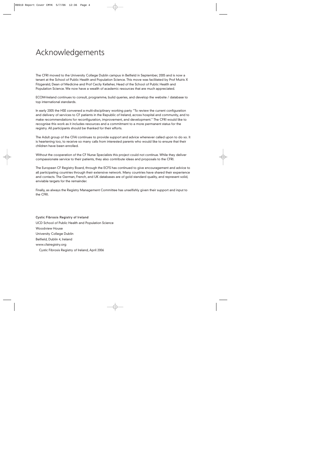### Acknowledgements

The CFRI moved to the University College Dublin campus in Belfield in September, 2005 and is now a tenant at the School of Public Health and Population Science. This move was facilitated by Prof Muiris X Fitzgerald, Dean of Medicine and Prof Cecily Kelleher, Head of the School of Public Health and Population Science. We now have a wealth of academic resources that are much appreciated.

ECOM-Ireland continues to consult, programme, build queries, and develop the website / database to top international standards.

In early 2005 the HSE convened a multi-disciplinary working party "To review the current configuration and delivery of services to CF patients in the Republic of Ireland, across hospital and community, and to make recommendations for reconfiguration, improvement, and development." The CFRI would like to recognise this work as it includes resources and a commitment to a more permanent status for the registry. All participants should be thanked for their efforts.

The Adult group of the CFAI continues to provide support and advice whenever called upon to do so. It is heartening too, to receive so many calls from interested parents who would like to ensure that their children have been enrolled.

Without the cooperation of the CF Nurse Specialists this project could not continue. While they deliver compassionate service to their patients, they also contribute ideas and proposals to the CFRI.

The European CF Registry Board, through the ECFS has continued to give encouragement and advice to all participating countries through their extensive network. Many countries have shared their experience and contacts. The German, French, and UK databases are of gold standard quality, and represent solid, enviable targets for the remainder.

Finally, as always the Registry Management Committee has unselfishly given their support and input to the CFRI.

Cystic Fibrosis Registry of Ireland UCD School of Public Health and Population Science Woodview House University College Dublin Belfield, Dublin 4, Ireland www.cfairegistry.org Cystic Fibrosis Registry of Ireland, April 2006